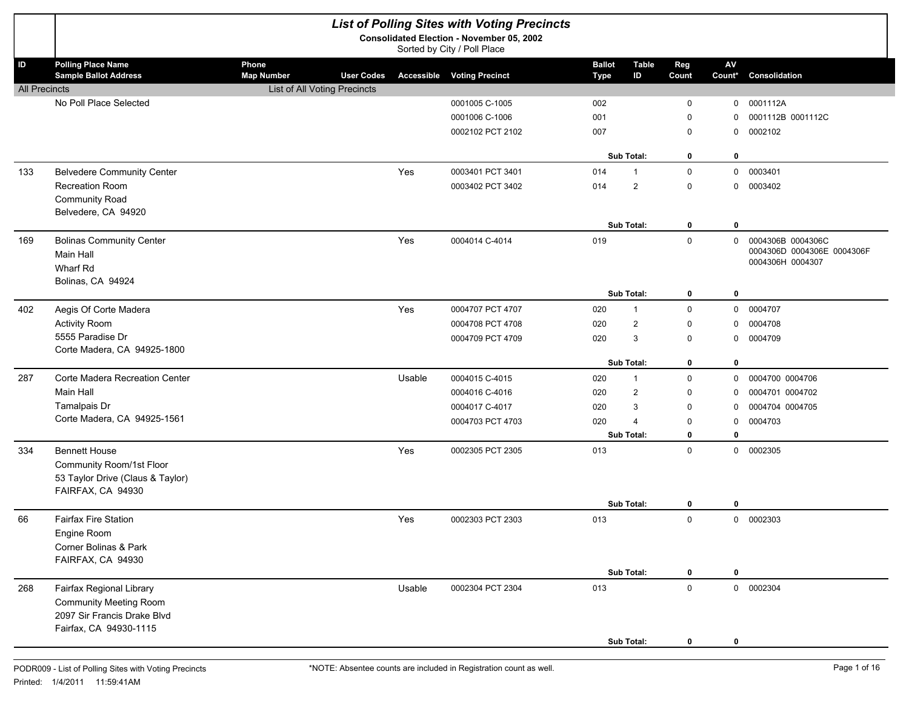|                      | <b>List of Polling Sites with Voting Precincts</b>                              |                                     |                   |        |                                   |               |                   |              |                        |                                                 |  |
|----------------------|---------------------------------------------------------------------------------|-------------------------------------|-------------------|--------|-----------------------------------|---------------|-------------------|--------------|------------------------|-------------------------------------------------|--|
|                      | <b>Consolidated Election - November 05, 2002</b><br>Sorted by City / Poll Place |                                     |                   |        |                                   |               |                   |              |                        |                                                 |  |
| ID                   | <b>Polling Place Name</b>                                                       | Phone                               |                   |        |                                   | <b>Ballot</b> | <b>Table</b>      | Reg          | $\mathsf{A}\mathsf{V}$ |                                                 |  |
|                      | <b>Sample Ballot Address</b>                                                    | <b>Map Number</b>                   | <b>User Codes</b> |        | <b>Accessible Voting Precinct</b> | <b>Type</b>   | ID                | Count        | Count*                 | Consolidation                                   |  |
| <b>All Precincts</b> | No Poll Place Selected                                                          | <b>List of All Voting Precincts</b> |                   |        | 0001005 C-1005                    | 002           |                   | 0            | 0                      | 0001112A                                        |  |
|                      |                                                                                 |                                     |                   |        | 0001006 C-1006                    | 001           |                   | 0            | 0                      | 0001112B 0001112C                               |  |
|                      |                                                                                 |                                     |                   |        |                                   | 007           |                   |              |                        | 0002102                                         |  |
|                      |                                                                                 |                                     |                   |        | 0002102 PCT 2102                  |               |                   | 0            | 0                      |                                                 |  |
|                      |                                                                                 |                                     |                   |        |                                   |               | <b>Sub Total:</b> | 0            | 0                      |                                                 |  |
| 133                  | <b>Belvedere Community Center</b>                                               |                                     |                   | Yes    | 0003401 PCT 3401                  | 014           | $\overline{1}$    | $\mathsf{O}$ | $\mathbf 0$            | 0003401                                         |  |
|                      | Recreation Room                                                                 |                                     |                   |        | 0003402 PCT 3402                  | 014           | $\overline{2}$    | 0            | 0                      | 0003402                                         |  |
|                      | <b>Community Road</b>                                                           |                                     |                   |        |                                   |               |                   |              |                        |                                                 |  |
|                      | Belvedere, CA 94920                                                             |                                     |                   |        |                                   |               |                   |              |                        |                                                 |  |
|                      |                                                                                 |                                     |                   |        |                                   |               | Sub Total:        | 0            | 0                      |                                                 |  |
| 169                  | <b>Bolinas Community Center</b><br>Main Hall                                    |                                     |                   | Yes    | 0004014 C-4014                    | 019           |                   | $\mathsf{O}$ | $\mathbf 0$            | 0004306B 0004306C<br>0004306D 0004306E 0004306F |  |
|                      | Wharf Rd                                                                        |                                     |                   |        |                                   |               |                   |              |                        | 0004306H 0004307                                |  |
|                      | Bolinas, CA 94924                                                               |                                     |                   |        |                                   |               |                   |              |                        |                                                 |  |
|                      |                                                                                 |                                     |                   |        |                                   |               | Sub Total:        | 0            | 0                      |                                                 |  |
| 402                  | Aegis Of Corte Madera                                                           |                                     |                   | Yes    | 0004707 PCT 4707                  | 020           | $\overline{1}$    | 0            | 0                      | 0004707                                         |  |
|                      | <b>Activity Room</b>                                                            |                                     |                   |        | 0004708 PCT 4708                  | 020           | $\overline{2}$    | 0            | 0                      | 0004708                                         |  |
|                      | 5555 Paradise Dr                                                                |                                     |                   |        | 0004709 PCT 4709                  | 020           | 3                 | 0            | 0                      | 0004709                                         |  |
|                      | Corte Madera, CA 94925-1800                                                     |                                     |                   |        |                                   |               |                   |              |                        |                                                 |  |
|                      |                                                                                 |                                     |                   |        |                                   |               | <b>Sub Total:</b> | 0            | 0                      |                                                 |  |
| 287                  | Corte Madera Recreation Center                                                  |                                     |                   | Usable | 0004015 C-4015                    | 020           | $\overline{1}$    | 0            | 0                      | 0004700 0004706                                 |  |
|                      | Main Hall                                                                       |                                     |                   |        | 0004016 C-4016                    | 020           | $\overline{2}$    | 0            | 0                      | 0004701 0004702                                 |  |
|                      | Tamalpais Dr                                                                    |                                     |                   |        | 0004017 C-4017                    | 020           | 3                 | 0            | 0                      | 0004704 0004705                                 |  |
|                      | Corte Madera, CA 94925-1561                                                     |                                     |                   |        | 0004703 PCT 4703                  | 020           | $\overline{4}$    | 0            | 0                      | 0004703                                         |  |
|                      |                                                                                 |                                     |                   |        |                                   |               | Sub Total:        | 0            | 0                      |                                                 |  |
| 334                  | <b>Bennett House</b>                                                            |                                     |                   | Yes    | 0002305 PCT 2305                  | 013           |                   | $\mathsf{O}$ | 0                      | 0002305                                         |  |
|                      | Community Room/1st Floor                                                        |                                     |                   |        |                                   |               |                   |              |                        |                                                 |  |
|                      | 53 Taylor Drive (Claus & Taylor)                                                |                                     |                   |        |                                   |               |                   |              |                        |                                                 |  |
|                      | FAIRFAX, CA 94930                                                               |                                     |                   |        |                                   |               | <b>Sub Total:</b> | 0            | 0                      |                                                 |  |
| 66                   | Fairfax Fire Station                                                            |                                     |                   | Yes    | 0002303 PCT 2303                  | 013           |                   | 0            | 0                      | 0002303                                         |  |
|                      | Engine Room                                                                     |                                     |                   |        |                                   |               |                   |              |                        |                                                 |  |
|                      | Corner Bolinas & Park                                                           |                                     |                   |        |                                   |               |                   |              |                        |                                                 |  |
|                      | FAIRFAX, CA 94930                                                               |                                     |                   |        |                                   |               |                   |              |                        |                                                 |  |
|                      |                                                                                 |                                     |                   |        |                                   |               | Sub Total:        | 0            | 0                      |                                                 |  |
| 268                  | Fairfax Regional Library                                                        |                                     |                   | Usable | 0002304 PCT 2304                  | 013           |                   | $\mathbf 0$  |                        | 0 0002304                                       |  |
|                      | <b>Community Meeting Room</b>                                                   |                                     |                   |        |                                   |               |                   |              |                        |                                                 |  |
|                      | 2097 Sir Francis Drake Blvd                                                     |                                     |                   |        |                                   |               |                   |              |                        |                                                 |  |
|                      | Fairfax, CA 94930-1115                                                          |                                     |                   |        |                                   |               |                   |              |                        |                                                 |  |
|                      |                                                                                 |                                     |                   |        |                                   |               | Sub Total:        | 0            | 0                      |                                                 |  |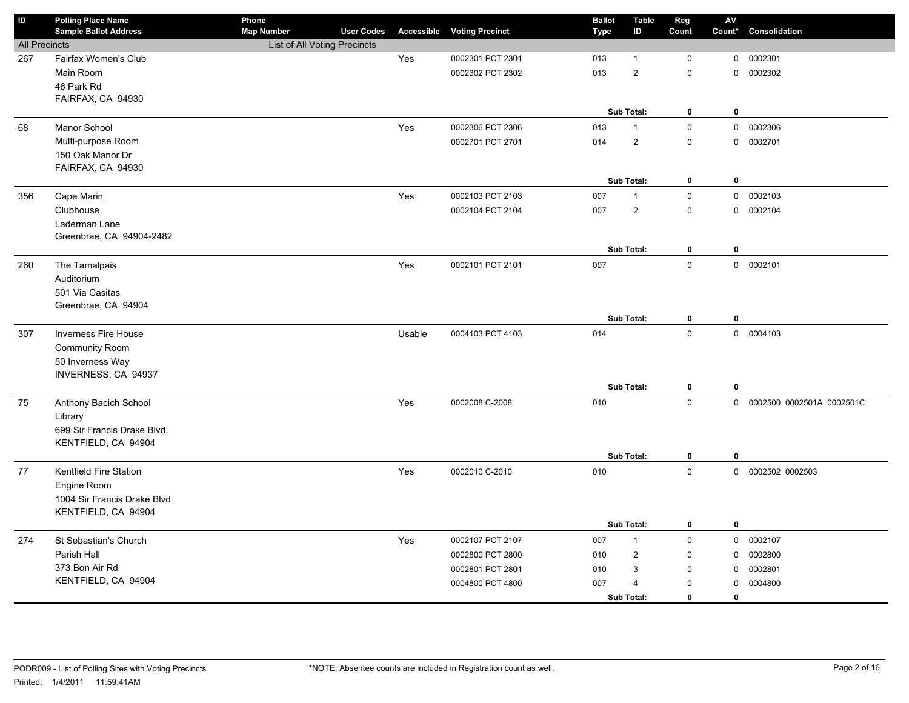| <b>Sample Ballot Address</b><br><b>User Codes</b><br><b>Voting Precinct</b><br>Consolidation<br>ID<br>Count<br>Count*<br><b>Type</b><br>List of All Voting Precincts<br><b>All Precincts</b><br>Fairfax Women's Club<br>Yes<br>0002301 PCT 2301<br>$\mathbf 0$<br>0002301<br>267<br>013<br>$\mathbf 0$<br>$\mathbf{1}$<br>Main Room<br>$\overline{2}$<br>$\mathsf 0$<br>0002302 PCT 2302<br>013<br>$\mathbf 0$<br>0002302<br>46 Park Rd<br>FAIRFAX, CA 94930<br>Sub Total:<br>$\pmb{0}$<br>$\mathbf 0$<br>0 0002306<br>Manor School<br>Yes<br>0002306 PCT 2306<br>013<br>$\mathsf 0$<br>68<br>$\mathbf{1}$<br>Multi-purpose Room<br>$\overline{2}$<br>014<br>$\mathsf 0$<br>0 0002701<br>0002701 PCT 2701<br>150 Oak Manor Dr<br>FAIRFAX, CA 94930<br>Sub Total:<br>$\bf{0}$<br>$\mathbf 0$<br>$\mathbf 0$<br>0 0002103<br>356<br>Cape Marin<br>Yes<br>0002103 PCT 2103<br>007<br>$\mathbf{1}$<br>Clubhouse<br>$\mathbf 2$<br>$\pmb{0}$<br>0002104<br>0002104 PCT 2104<br>007<br>$\mathbf 0$<br>Laderman Lane<br>Greenbrae, CA 94904-2482<br>$\bf{0}$<br>$\bf{0}$<br>Sub Total:<br>$\mathsf 0$<br>Yes<br>007<br>0 0002101<br>260<br>The Tamalpais<br>0002101 PCT 2101 |
|-----------------------------------------------------------------------------------------------------------------------------------------------------------------------------------------------------------------------------------------------------------------------------------------------------------------------------------------------------------------------------------------------------------------------------------------------------------------------------------------------------------------------------------------------------------------------------------------------------------------------------------------------------------------------------------------------------------------------------------------------------------------------------------------------------------------------------------------------------------------------------------------------------------------------------------------------------------------------------------------------------------------------------------------------------------------------------------------------------------------------------------------------------------------------|
|                                                                                                                                                                                                                                                                                                                                                                                                                                                                                                                                                                                                                                                                                                                                                                                                                                                                                                                                                                                                                                                                                                                                                                       |
|                                                                                                                                                                                                                                                                                                                                                                                                                                                                                                                                                                                                                                                                                                                                                                                                                                                                                                                                                                                                                                                                                                                                                                       |
|                                                                                                                                                                                                                                                                                                                                                                                                                                                                                                                                                                                                                                                                                                                                                                                                                                                                                                                                                                                                                                                                                                                                                                       |
|                                                                                                                                                                                                                                                                                                                                                                                                                                                                                                                                                                                                                                                                                                                                                                                                                                                                                                                                                                                                                                                                                                                                                                       |
|                                                                                                                                                                                                                                                                                                                                                                                                                                                                                                                                                                                                                                                                                                                                                                                                                                                                                                                                                                                                                                                                                                                                                                       |
|                                                                                                                                                                                                                                                                                                                                                                                                                                                                                                                                                                                                                                                                                                                                                                                                                                                                                                                                                                                                                                                                                                                                                                       |
|                                                                                                                                                                                                                                                                                                                                                                                                                                                                                                                                                                                                                                                                                                                                                                                                                                                                                                                                                                                                                                                                                                                                                                       |
|                                                                                                                                                                                                                                                                                                                                                                                                                                                                                                                                                                                                                                                                                                                                                                                                                                                                                                                                                                                                                                                                                                                                                                       |
|                                                                                                                                                                                                                                                                                                                                                                                                                                                                                                                                                                                                                                                                                                                                                                                                                                                                                                                                                                                                                                                                                                                                                                       |
|                                                                                                                                                                                                                                                                                                                                                                                                                                                                                                                                                                                                                                                                                                                                                                                                                                                                                                                                                                                                                                                                                                                                                                       |
|                                                                                                                                                                                                                                                                                                                                                                                                                                                                                                                                                                                                                                                                                                                                                                                                                                                                                                                                                                                                                                                                                                                                                                       |
|                                                                                                                                                                                                                                                                                                                                                                                                                                                                                                                                                                                                                                                                                                                                                                                                                                                                                                                                                                                                                                                                                                                                                                       |
|                                                                                                                                                                                                                                                                                                                                                                                                                                                                                                                                                                                                                                                                                                                                                                                                                                                                                                                                                                                                                                                                                                                                                                       |
|                                                                                                                                                                                                                                                                                                                                                                                                                                                                                                                                                                                                                                                                                                                                                                                                                                                                                                                                                                                                                                                                                                                                                                       |
|                                                                                                                                                                                                                                                                                                                                                                                                                                                                                                                                                                                                                                                                                                                                                                                                                                                                                                                                                                                                                                                                                                                                                                       |
|                                                                                                                                                                                                                                                                                                                                                                                                                                                                                                                                                                                                                                                                                                                                                                                                                                                                                                                                                                                                                                                                                                                                                                       |
|                                                                                                                                                                                                                                                                                                                                                                                                                                                                                                                                                                                                                                                                                                                                                                                                                                                                                                                                                                                                                                                                                                                                                                       |
| Auditorium<br>501 Via Casitas                                                                                                                                                                                                                                                                                                                                                                                                                                                                                                                                                                                                                                                                                                                                                                                                                                                                                                                                                                                                                                                                                                                                         |
| Greenbrae, CA 94904                                                                                                                                                                                                                                                                                                                                                                                                                                                                                                                                                                                                                                                                                                                                                                                                                                                                                                                                                                                                                                                                                                                                                   |
| Sub Total:<br>$\pmb{0}$<br>$\bf{0}$                                                                                                                                                                                                                                                                                                                                                                                                                                                                                                                                                                                                                                                                                                                                                                                                                                                                                                                                                                                                                                                                                                                                   |
| 307<br><b>Inverness Fire House</b><br>Usable<br>0004103 PCT 4103<br>014<br>$\mathsf 0$<br>0 0004103                                                                                                                                                                                                                                                                                                                                                                                                                                                                                                                                                                                                                                                                                                                                                                                                                                                                                                                                                                                                                                                                   |
| <b>Community Room</b>                                                                                                                                                                                                                                                                                                                                                                                                                                                                                                                                                                                                                                                                                                                                                                                                                                                                                                                                                                                                                                                                                                                                                 |
| 50 Inverness Way                                                                                                                                                                                                                                                                                                                                                                                                                                                                                                                                                                                                                                                                                                                                                                                                                                                                                                                                                                                                                                                                                                                                                      |
| <b>INVERNESS, CA 94937</b>                                                                                                                                                                                                                                                                                                                                                                                                                                                                                                                                                                                                                                                                                                                                                                                                                                                                                                                                                                                                                                                                                                                                            |
| Sub Total:<br>$\pmb{0}$<br>$\mathbf 0$                                                                                                                                                                                                                                                                                                                                                                                                                                                                                                                                                                                                                                                                                                                                                                                                                                                                                                                                                                                                                                                                                                                                |
| $\mathbf 0$<br>Yes<br>75<br>Anthony Bacich School<br>0002008 C-2008<br>010<br>0 0002500 0002501A 0002501C                                                                                                                                                                                                                                                                                                                                                                                                                                                                                                                                                                                                                                                                                                                                                                                                                                                                                                                                                                                                                                                             |
| Library                                                                                                                                                                                                                                                                                                                                                                                                                                                                                                                                                                                                                                                                                                                                                                                                                                                                                                                                                                                                                                                                                                                                                               |
| 699 Sir Francis Drake Blvd.                                                                                                                                                                                                                                                                                                                                                                                                                                                                                                                                                                                                                                                                                                                                                                                                                                                                                                                                                                                                                                                                                                                                           |
| KENTFIELD, CA 94904                                                                                                                                                                                                                                                                                                                                                                                                                                                                                                                                                                                                                                                                                                                                                                                                                                                                                                                                                                                                                                                                                                                                                   |
| Sub Total:<br>$\pmb{0}$<br>$\mathbf 0$                                                                                                                                                                                                                                                                                                                                                                                                                                                                                                                                                                                                                                                                                                                                                                                                                                                                                                                                                                                                                                                                                                                                |
| $\pmb{0}$<br>Kentfield Fire Station<br>Yes<br>77<br>0002010 C-2010<br>010<br>0 0002502 0002503                                                                                                                                                                                                                                                                                                                                                                                                                                                                                                                                                                                                                                                                                                                                                                                                                                                                                                                                                                                                                                                                        |
| Engine Room                                                                                                                                                                                                                                                                                                                                                                                                                                                                                                                                                                                                                                                                                                                                                                                                                                                                                                                                                                                                                                                                                                                                                           |
| 1004 Sir Francis Drake Blvd                                                                                                                                                                                                                                                                                                                                                                                                                                                                                                                                                                                                                                                                                                                                                                                                                                                                                                                                                                                                                                                                                                                                           |
| KENTFIELD, CA 94904<br>Sub Total:<br>$\bf{0}$<br>$\bf{0}$                                                                                                                                                                                                                                                                                                                                                                                                                                                                                                                                                                                                                                                                                                                                                                                                                                                                                                                                                                                                                                                                                                             |
| $\mathsf 0$<br>0002107                                                                                                                                                                                                                                                                                                                                                                                                                                                                                                                                                                                                                                                                                                                                                                                                                                                                                                                                                                                                                                                                                                                                                |
| $\mathbf 0$<br>274<br>St Sebastian's Church<br>Yes<br>0002107 PCT 2107<br>007<br>$\mathbf{1}$<br>Parish Hall                                                                                                                                                                                                                                                                                                                                                                                                                                                                                                                                                                                                                                                                                                                                                                                                                                                                                                                                                                                                                                                          |
| $\overline{2}$<br>$\mathsf 0$<br>$\mathbf 0$<br>0002800<br>0002800 PCT 2800<br>010<br>373 Bon Air Rd                                                                                                                                                                                                                                                                                                                                                                                                                                                                                                                                                                                                                                                                                                                                                                                                                                                                                                                                                                                                                                                                  |
| $\ensuremath{\mathsf{3}}$<br>0002801 PCT 2801<br>$\mathbf 0$<br>0002801<br>010<br>$\mathbf 0$<br>KENTFIELD, CA 94904                                                                                                                                                                                                                                                                                                                                                                                                                                                                                                                                                                                                                                                                                                                                                                                                                                                                                                                                                                                                                                                  |
| 0004800 PCT 4800<br>007<br>$\overline{4}$<br>$\mathbf 0$<br>$\mathbf 0$<br>0004800<br>Sub Total:<br>$\Omega$<br>$\mathbf 0$                                                                                                                                                                                                                                                                                                                                                                                                                                                                                                                                                                                                                                                                                                                                                                                                                                                                                                                                                                                                                                           |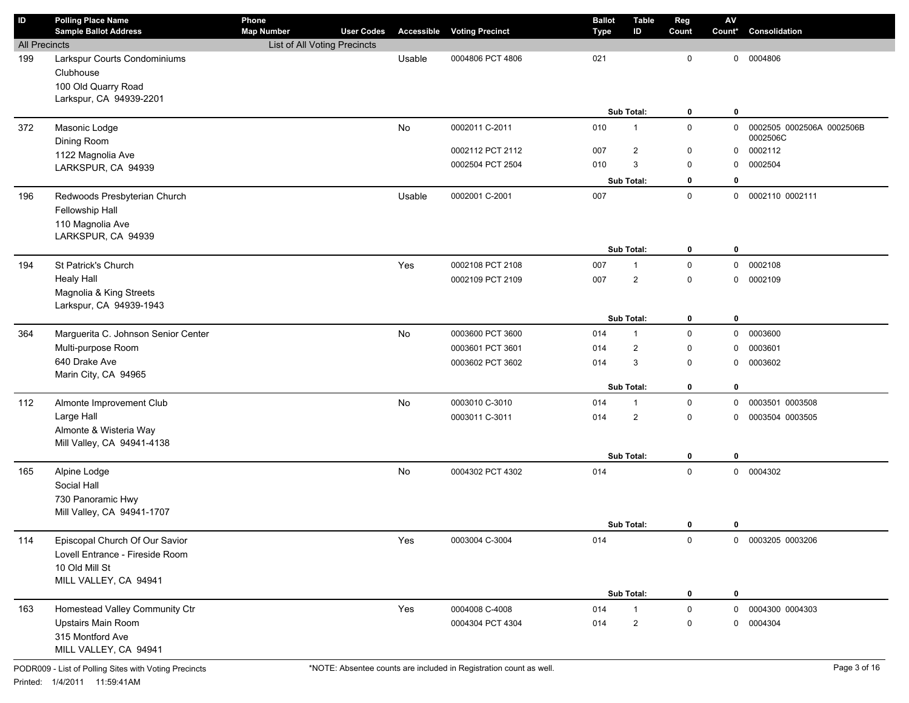| ID                   | <b>Polling Place Name</b><br><b>Sample Ballot Address</b> | Phone<br><b>Map Number</b>   | <b>User Codes</b> |        | <b>Accessible Voting Precinct</b> | <b>Ballot</b><br><b>Type</b> | <b>Table</b><br>ID      | Reg<br>Count | ${\sf AV}$<br>Count* | Consolidation                         |
|----------------------|-----------------------------------------------------------|------------------------------|-------------------|--------|-----------------------------------|------------------------------|-------------------------|--------------|----------------------|---------------------------------------|
| <b>All Precincts</b> |                                                           | List of All Voting Precincts |                   |        |                                   |                              |                         |              |                      |                                       |
| 199                  | Larkspur Courts Condominiums                              |                              |                   | Usable | 0004806 PCT 4806                  | 021                          |                         | $\mathbf 0$  | 0                    | 0004806                               |
|                      | Clubhouse                                                 |                              |                   |        |                                   |                              |                         |              |                      |                                       |
|                      | 100 Old Quarry Road                                       |                              |                   |        |                                   |                              |                         |              |                      |                                       |
|                      | Larkspur, CA 94939-2201                                   |                              |                   |        |                                   |                              |                         |              |                      |                                       |
|                      |                                                           |                              |                   |        |                                   |                              | Sub Total:              | 0            | 0                    |                                       |
| 372                  | Masonic Lodge                                             |                              |                   | No     | 0002011 C-2011                    | 010                          | $\mathbf 1$             | $\mathsf 0$  | 0                    | 0002505 0002506A 0002506B<br>0002506C |
|                      | Dining Room                                               |                              |                   |        | 0002112 PCT 2112                  | 007                          | $\overline{\mathbf{c}}$ | 0            | 0                    | 0002112                               |
|                      | 1122 Magnolia Ave                                         |                              |                   |        | 0002504 PCT 2504                  | 010                          | 3                       | $\mathsf 0$  | 0                    | 0002504                               |
|                      | LARKSPUR, CA 94939                                        |                              |                   |        |                                   |                              | Sub Total:              | 0            | 0                    |                                       |
| 196                  |                                                           |                              |                   | Usable | 0002001 C-2001                    | 007                          |                         | $\mathsf 0$  |                      | 0002110 0002111                       |
|                      | Redwoods Presbyterian Church<br>Fellowship Hall           |                              |                   |        |                                   |                              |                         |              | 0                    |                                       |
|                      | 110 Magnolia Ave                                          |                              |                   |        |                                   |                              |                         |              |                      |                                       |
|                      | LARKSPUR, CA 94939                                        |                              |                   |        |                                   |                              |                         |              |                      |                                       |
|                      |                                                           |                              |                   |        |                                   |                              | Sub Total:              | 0            | 0                    |                                       |
| 194                  | St Patrick's Church                                       |                              |                   | Yes    | 0002108 PCT 2108                  | 007                          | 1                       | $\mathbf 0$  | 0                    | 0002108                               |
|                      | <b>Healy Hall</b>                                         |                              |                   |        | 0002109 PCT 2109                  | 007                          | $\overline{c}$          | $\mathbf 0$  | $\mathbf 0$          | 0002109                               |
|                      | Magnolia & King Streets                                   |                              |                   |        |                                   |                              |                         |              |                      |                                       |
|                      | Larkspur, CA 94939-1943                                   |                              |                   |        |                                   |                              |                         |              |                      |                                       |
|                      |                                                           |                              |                   |        |                                   |                              | Sub Total:              | $\mathbf 0$  | 0                    |                                       |
| 364                  | Marguerita C. Johnson Senior Center                       |                              |                   | No     | 0003600 PCT 3600                  | 014                          | $\mathbf{1}$            | $\mathbf 0$  | 0                    | 0003600                               |
|                      | Multi-purpose Room                                        |                              |                   |        | 0003601 PCT 3601                  | 014                          | $\overline{\mathbf{c}}$ | $\mathbf{0}$ | 0                    | 0003601                               |
|                      | 640 Drake Ave                                             |                              |                   |        | 0003602 PCT 3602                  | 014                          | 3                       | $\mathbf 0$  | 0                    | 0003602                               |
|                      | Marin City, CA 94965                                      |                              |                   |        |                                   |                              |                         |              |                      |                                       |
|                      |                                                           |                              |                   |        |                                   |                              | Sub Total:              | $\mathbf 0$  | 0                    |                                       |
| 112                  | Almonte Improvement Club                                  |                              |                   | No     | 0003010 C-3010                    | 014                          | $\mathbf{1}$            | $\mathsf 0$  | 0                    | 0003501 0003508                       |
|                      | Large Hall                                                |                              |                   |        | 0003011 C-3011                    | 014                          | $\overline{\mathbf{c}}$ | $\mathbf 0$  | 0                    | 0003504 0003505                       |
|                      | Almonte & Wisteria Way<br>Mill Valley, CA 94941-4138      |                              |                   |        |                                   |                              |                         |              |                      |                                       |
|                      |                                                           |                              |                   |        |                                   |                              | Sub Total:              | $\mathbf 0$  | 0                    |                                       |
| 165                  | Alpine Lodge                                              |                              |                   | No     | 0004302 PCT 4302                  | 014                          |                         | $\mathsf 0$  |                      | 0 0004302                             |
|                      | Social Hall                                               |                              |                   |        |                                   |                              |                         |              |                      |                                       |
|                      | 730 Panoramic Hwy                                         |                              |                   |        |                                   |                              |                         |              |                      |                                       |
|                      | Mill Valley, CA 94941-1707                                |                              |                   |        |                                   |                              |                         |              |                      |                                       |
|                      |                                                           |                              |                   |        |                                   |                              | Sub Total:              | $\bf{0}$     | 0                    |                                       |
| 114                  | Episcopal Church Of Our Savior                            |                              |                   | Yes    | 0003004 C-3004                    | 014                          |                         | $\mathsf 0$  |                      | 0 0003205 0003206                     |
|                      | Lovell Entrance - Fireside Room                           |                              |                   |        |                                   |                              |                         |              |                      |                                       |
|                      | 10 Old Mill St                                            |                              |                   |        |                                   |                              |                         |              |                      |                                       |
|                      | MILL VALLEY, CA 94941                                     |                              |                   |        |                                   |                              |                         |              |                      |                                       |
|                      |                                                           |                              |                   |        |                                   |                              | Sub Total:              | 0            | $\mathbf 0$          |                                       |
| 163                  | Homestead Valley Community Ctr                            |                              |                   | Yes    | 0004008 C-4008                    | 014                          | 1                       | $\mathbf 0$  | $\mathbf{0}$         | 0004300 0004303                       |
|                      | Upstairs Main Room                                        |                              |                   |        | 0004304 PCT 4304                  | 014                          | $\overline{a}$          | 0            | 0                    | 0004304                               |
|                      | 315 Montford Ave<br>MILL VALLEY, CA 94941                 |                              |                   |        |                                   |                              |                         |              |                      |                                       |
|                      |                                                           |                              |                   |        |                                   |                              |                         |              |                      |                                       |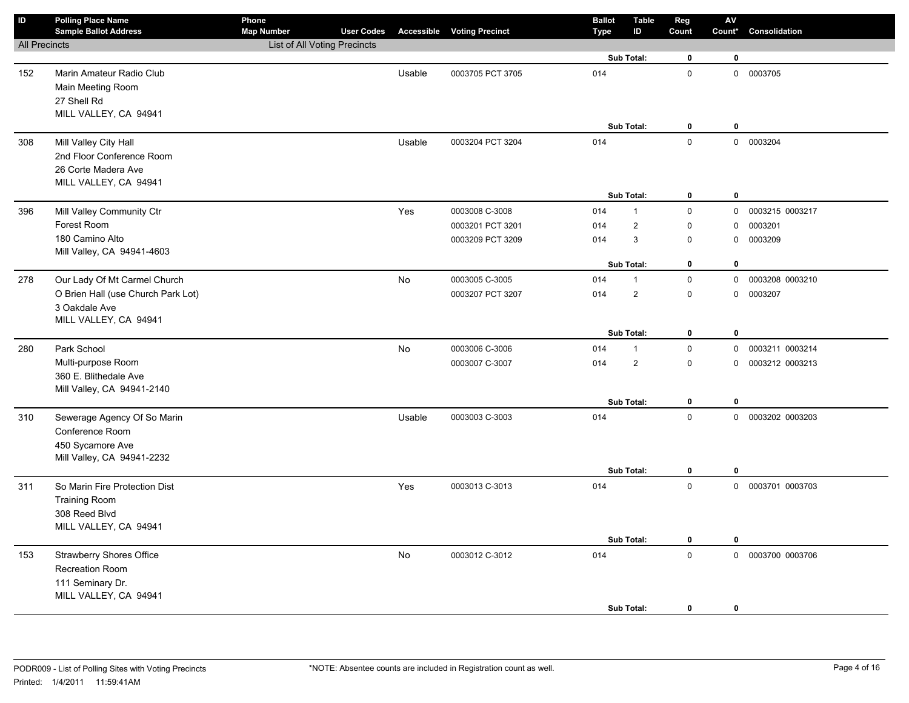| <b>Sample Ballot Address</b>                                                                    | <b>Map Number</b>                                                                                                                                                  | <b>User Codes</b> |                              | <b>Accessible Voting Precinct</b>    | Type                                                                   | <b>Table</b><br>ID       | Reg<br>Count                                                                                                                                               | ${\sf AV}$<br>Count*                                                                         | Consolidation                                                                               |
|-------------------------------------------------------------------------------------------------|--------------------------------------------------------------------------------------------------------------------------------------------------------------------|-------------------|------------------------------|--------------------------------------|------------------------------------------------------------------------|--------------------------|------------------------------------------------------------------------------------------------------------------------------------------------------------|----------------------------------------------------------------------------------------------|---------------------------------------------------------------------------------------------|
|                                                                                                 |                                                                                                                                                                    |                   |                              |                                      |                                                                        |                          |                                                                                                                                                            |                                                                                              |                                                                                             |
|                                                                                                 |                                                                                                                                                                    |                   |                              |                                      |                                                                        |                          | $\mathbf 0$                                                                                                                                                | $\mathbf 0$                                                                                  |                                                                                             |
| Marin Amateur Radio Club<br>Main Meeting Room<br>27 Shell Rd<br>MILL VALLEY, CA 94941           |                                                                                                                                                                    |                   | Usable                       | 0003705 PCT 3705                     | 014                                                                    |                          | $\mathsf 0$                                                                                                                                                |                                                                                              | 0 0003705                                                                                   |
|                                                                                                 |                                                                                                                                                                    |                   |                              |                                      |                                                                        |                          | 0                                                                                                                                                          | $\pmb{0}$                                                                                    |                                                                                             |
| 2nd Floor Conference Room<br>26 Corte Madera Ave<br>MILL VALLEY, CA 94941                       |                                                                                                                                                                    |                   |                              |                                      |                                                                        |                          | $\mathbf 0$                                                                                                                                                |                                                                                              | 0 0003204                                                                                   |
|                                                                                                 |                                                                                                                                                                    |                   |                              |                                      |                                                                        |                          |                                                                                                                                                            |                                                                                              |                                                                                             |
| Forest Room<br>180 Camino Alto<br>Mill Valley, CA 94941-4603                                    |                                                                                                                                                                    |                   |                              | 0003201 PCT 3201<br>0003209 PCT 3209 | 014<br>014                                                             | $\overline{2}$<br>3      | 0<br>0                                                                                                                                                     | $\mathbf 0$<br>0                                                                             | 0003215 0003217<br>0003201<br>0003209                                                       |
|                                                                                                 |                                                                                                                                                                    |                   |                              |                                      |                                                                        |                          |                                                                                                                                                            |                                                                                              |                                                                                             |
| O Brien Hall (use Church Park Lot)<br>3 Oakdale Ave                                             |                                                                                                                                                                    |                   |                              | 0003207 PCT 3207                     | 014                                                                    | $\overline{2}$           | 0                                                                                                                                                          | 0                                                                                            | 0003208 0003210<br>0003207                                                                  |
|                                                                                                 |                                                                                                                                                                    |                   |                              |                                      |                                                                        |                          | $\mathbf 0$                                                                                                                                                | $\pmb{0}$                                                                                    |                                                                                             |
| Park School                                                                                     |                                                                                                                                                                    |                   | No                           | 0003006 C-3006                       | 014                                                                    | $\mathbf{1}$             | $\mathsf 0$                                                                                                                                                | $\mathsf{O}$                                                                                 | 0003211 0003214                                                                             |
| Multi-purpose Room<br>360 E. Blithedale Ave<br>Mill Valley, CA 94941-2140                       |                                                                                                                                                                    |                   |                              | 0003007 C-3007                       | 014                                                                    | $\overline{2}$           | 0                                                                                                                                                          | 0                                                                                            | 0003212 0003213                                                                             |
|                                                                                                 |                                                                                                                                                                    |                   |                              |                                      |                                                                        |                          |                                                                                                                                                            |                                                                                              |                                                                                             |
| Conference Room<br>450 Sycamore Ave<br>Mill Valley, CA 94941-2232                               |                                                                                                                                                                    |                   |                              |                                      |                                                                        |                          | 0                                                                                                                                                          | 0                                                                                            | 0 0003202 0003203                                                                           |
| So Marin Fire Protection Dist<br><b>Training Room</b><br>308 Reed Blvd<br>MILL VALLEY, CA 94941 |                                                                                                                                                                    |                   | Yes                          | 0003013 C-3013                       | 014                                                                    |                          | $\mathsf 0$                                                                                                                                                |                                                                                              | 0 0003701 0003703                                                                           |
| <b>Strawberry Shores Office</b><br>Recreation Room<br>111 Seminary Dr.<br>MILL VALLEY, CA 94941 |                                                                                                                                                                    |                   | No                           | 0003012 C-3012                       | 014                                                                    |                          | $\pmb{0}$                                                                                                                                                  |                                                                                              | 0 0003700 0003706                                                                           |
|                                                                                                 | <b>All Precincts</b><br>Mill Valley City Hall<br>Mill Valley Community Ctr<br>Our Lady Of Mt Carmel Church<br>MILL VALLEY, CA 94941<br>Sewerage Agency Of So Marin |                   | List of All Voting Precincts | Usable<br>Yes<br>No<br>Usable        | 0003204 PCT 3204<br>0003008 C-3008<br>0003005 C-3005<br>0003003 C-3003 | 014<br>014<br>014<br>014 | Sub Total:<br>Sub Total:<br>Sub Total:<br>$\mathbf{1}$<br>Sub Total:<br>$\mathbf{1}$<br>Sub Total:<br>Sub Total:<br>Sub Total:<br>Sub Total:<br>Sub Total: | $\pmb{0}$<br>$\mathsf 0$<br>0<br>$\mathsf 0$<br>$\pmb{0}$<br>$\mathsf 0$<br>0<br>$\mathbf 0$ | $\pmb{0}$<br>$\mathsf{O}$<br>$\mathbf 0$<br>$\mathsf{O}$<br>$\mathbf 0$<br>$\mathbf 0$<br>0 |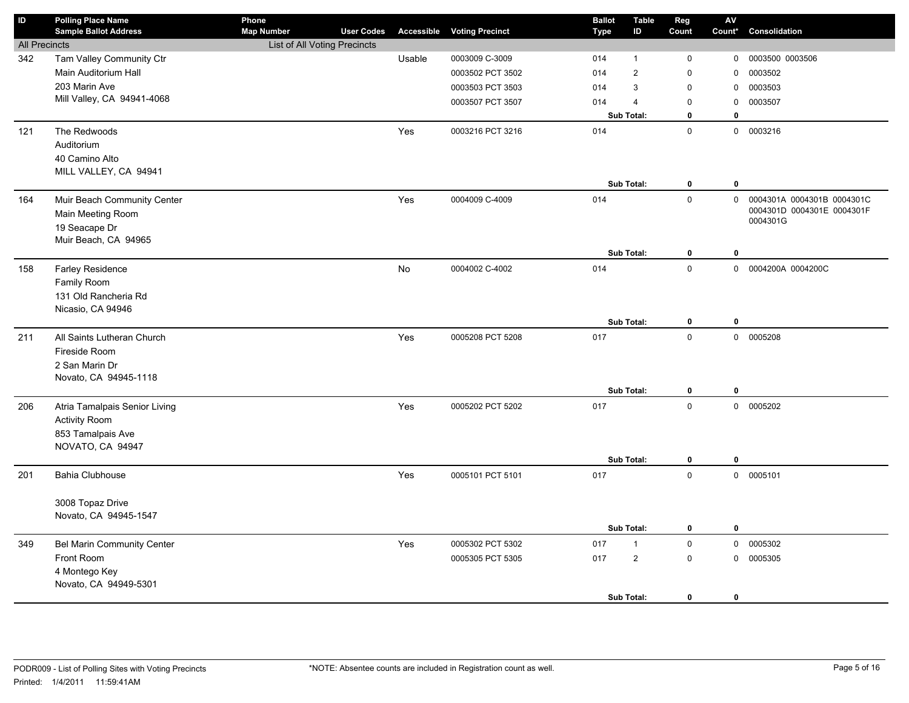| $\sf ID$             | <b>Polling Place Name</b><br><b>Sample Ballot Address</b> | Phone<br><b>Map Number</b>   | <b>User Codes</b> | Accessible | <b>Voting Precinct</b> | <b>Ballot</b><br>Type | <b>Table</b><br>ID | Reg<br>Count | AV<br>Count* | Consolidation                                            |
|----------------------|-----------------------------------------------------------|------------------------------|-------------------|------------|------------------------|-----------------------|--------------------|--------------|--------------|----------------------------------------------------------|
| <b>All Precincts</b> |                                                           | List of All Voting Precincts |                   |            |                        |                       |                    |              |              |                                                          |
| 342                  | Tam Valley Community Ctr                                  |                              |                   | Usable     | 0003009 C-3009         | 014                   | $\mathbf{1}$       | 0            | 0            | 0003500 0003506                                          |
|                      | Main Auditorium Hall                                      |                              |                   |            | 0003502 PCT 3502       | 014                   | $\overline{2}$     | $\mathbf 0$  | 0            | 0003502                                                  |
|                      | 203 Marin Ave                                             |                              |                   |            | 0003503 PCT 3503       | 014                   | 3                  | $\mathbf 0$  | $\mathbf 0$  | 0003503                                                  |
|                      | Mill Valley, CA 94941-4068                                |                              |                   |            | 0003507 PCT 3507       | 014                   | $\overline{4}$     | $\mathsf 0$  | 0            | 0003507                                                  |
|                      |                                                           |                              |                   |            |                        |                       | Sub Total:         | $\mathbf 0$  | $\mathbf 0$  |                                                          |
| 121                  | The Redwoods                                              |                              |                   | Yes        | 0003216 PCT 3216       | 014                   |                    | $\mathbf 0$  |              | 0 0003216                                                |
|                      | Auditorium                                                |                              |                   |            |                        |                       |                    |              |              |                                                          |
|                      | 40 Camino Alto                                            |                              |                   |            |                        |                       |                    |              |              |                                                          |
|                      | MILL VALLEY, CA 94941                                     |                              |                   |            |                        |                       |                    |              |              |                                                          |
|                      |                                                           |                              |                   |            |                        |                       | Sub Total:         | $\bf{0}$     | $\bf{0}$     |                                                          |
| 164                  | Muir Beach Community Center                               |                              |                   | Yes        | 0004009 C-4009         | 014                   |                    | $\mathsf 0$  | $\mathbf 0$  | 0004301A 0004301B 0004301C<br>0004301D 0004301E 0004301F |
|                      | Main Meeting Room                                         |                              |                   |            |                        |                       |                    |              |              | 0004301G                                                 |
|                      | 19 Seacape Dr                                             |                              |                   |            |                        |                       |                    |              |              |                                                          |
|                      | Muir Beach, CA 94965                                      |                              |                   |            |                        |                       | Sub Total:         | $\pmb{0}$    | $\mathbf 0$  |                                                          |
| 158                  | Farley Residence                                          |                              |                   | No         | 0004002 C-4002         | 014                   |                    | $\mathbf 0$  |              | 0 0004200A 0004200C                                      |
|                      | Family Room                                               |                              |                   |            |                        |                       |                    |              |              |                                                          |
|                      | 131 Old Rancheria Rd                                      |                              |                   |            |                        |                       |                    |              |              |                                                          |
|                      | Nicasio, CA 94946                                         |                              |                   |            |                        |                       |                    |              |              |                                                          |
|                      |                                                           |                              |                   |            |                        |                       | Sub Total:         | 0            | $\bf{0}$     |                                                          |
| 211                  | All Saints Lutheran Church                                |                              |                   | Yes        | 0005208 PCT 5208       | 017                   |                    | $\Omega$     |              | 0 0005208                                                |
|                      | Fireside Room                                             |                              |                   |            |                        |                       |                    |              |              |                                                          |
|                      | 2 San Marin Dr                                            |                              |                   |            |                        |                       |                    |              |              |                                                          |
|                      | Novato, CA 94945-1118                                     |                              |                   |            |                        |                       |                    |              |              |                                                          |
|                      |                                                           |                              |                   |            |                        |                       | Sub Total:         | 0            | $\mathbf 0$  |                                                          |
| 206                  | Atria Tamalpais Senior Living                             |                              |                   | Yes        | 0005202 PCT 5202       | 017                   |                    | $\mathsf 0$  |              | 0 0005202                                                |
|                      | <b>Activity Room</b>                                      |                              |                   |            |                        |                       |                    |              |              |                                                          |
|                      | 853 Tamalpais Ave                                         |                              |                   |            |                        |                       |                    |              |              |                                                          |
|                      | NOVATO, CA 94947                                          |                              |                   |            |                        |                       |                    |              |              |                                                          |
|                      |                                                           |                              |                   |            |                        |                       | Sub Total:         | 0            | $\pmb{0}$    |                                                          |
| 201                  | Bahia Clubhouse                                           |                              |                   | Yes        | 0005101 PCT 5101       | 017                   |                    | $\mathbf 0$  |              | 0 0005101                                                |
|                      | 3008 Topaz Drive                                          |                              |                   |            |                        |                       |                    |              |              |                                                          |
|                      | Novato, CA 94945-1547                                     |                              |                   |            |                        |                       |                    |              |              |                                                          |
|                      |                                                           |                              |                   |            |                        |                       | Sub Total:         | $\mathbf 0$  | $\bf{0}$     |                                                          |
| 349                  | Bel Marin Community Center                                |                              |                   | Yes        | 0005302 PCT 5302       | 017                   | $\mathbf{1}$       | $\mathsf 0$  |              | 0 0005302                                                |
|                      | Front Room                                                |                              |                   |            | 0005305 PCT 5305       | 017                   | $\overline{2}$     | $\mathbf 0$  |              | 0 0005305                                                |
|                      | 4 Montego Key                                             |                              |                   |            |                        |                       |                    |              |              |                                                          |
|                      | Novato, CA 94949-5301                                     |                              |                   |            |                        |                       |                    |              |              |                                                          |
|                      |                                                           |                              |                   |            |                        |                       | Sub Total:         | $\mathbf{0}$ | $\mathbf 0$  |                                                          |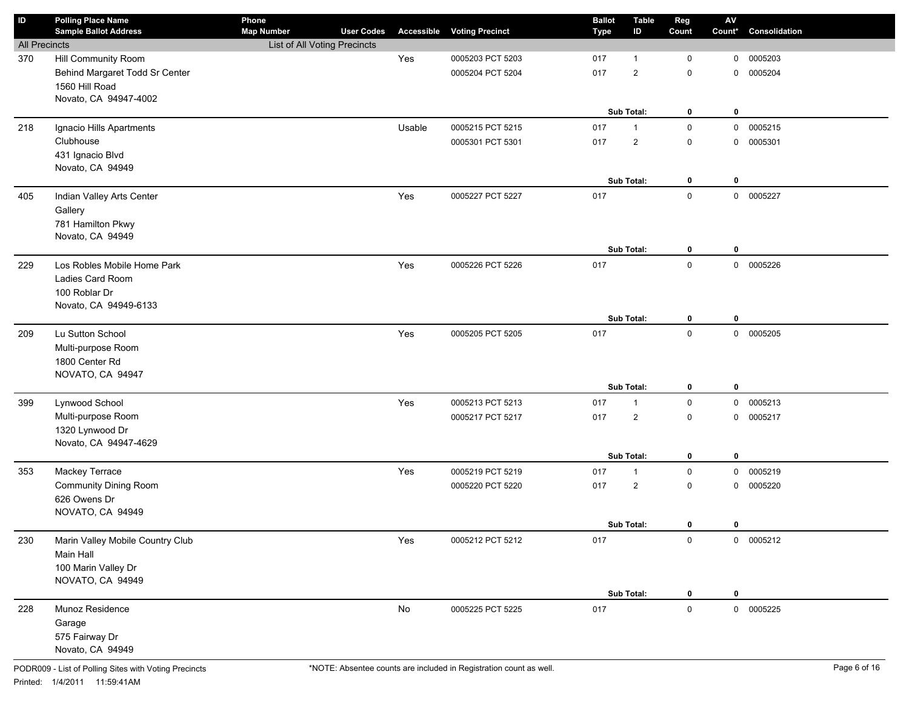| ID                   | <b>Polling Place Name</b><br><b>Sample Ballot Address</b> | Phone<br><b>Map Number</b>   | <b>User Codes</b> | Accessible    | <b>Voting Precinct</b> | <b>Ballot</b><br><b>Type</b> | <b>Table</b><br>ID             | Reg<br>Count | $\mathbf{A}\mathbf{V}$<br>Count* | Consolidation |
|----------------------|-----------------------------------------------------------|------------------------------|-------------------|---------------|------------------------|------------------------------|--------------------------------|--------------|----------------------------------|---------------|
| <b>All Precincts</b> |                                                           | List of All Voting Precincts |                   |               |                        |                              |                                |              |                                  |               |
| 370                  | Hill Community Room                                       |                              |                   | Yes           | 0005203 PCT 5203       | 017                          | $\mathbf{1}$                   | $\mathbf 0$  | 0                                | 0005203       |
|                      | Behind Margaret Todd Sr Center                            |                              |                   |               | 0005204 PCT 5204       | 017                          | $\overline{2}$                 | $\mathsf 0$  | $\mathbf 0$                      | 0005204       |
|                      | 1560 Hill Road                                            |                              |                   |               |                        |                              |                                |              |                                  |               |
|                      | Novato, CA 94947-4002                                     |                              |                   |               |                        |                              |                                |              |                                  |               |
|                      |                                                           |                              |                   |               |                        |                              | Sub Total:                     | $\mathbf 0$  | $\mathbf 0$                      |               |
| 218                  | Ignacio Hills Apartments                                  |                              |                   | Usable        | 0005215 PCT 5215       | 017                          | $\mathbf{1}$                   | $\mathsf 0$  | $\mathbf 0$                      | 0005215       |
|                      | Clubhouse                                                 |                              |                   |               | 0005301 PCT 5301       | 017                          | $\overline{2}$                 | $\mathsf 0$  | $\mathbf 0$                      | 0005301       |
|                      | 431 Ignacio Blvd                                          |                              |                   |               |                        |                              |                                |              |                                  |               |
|                      | Novato, CA 94949                                          |                              |                   |               |                        |                              |                                |              |                                  |               |
|                      |                                                           |                              |                   |               |                        |                              | Sub Total:                     | $\mathbf 0$  | $\mathbf 0$                      |               |
| 405                  | Indian Valley Arts Center                                 |                              |                   | Yes           | 0005227 PCT 5227       | 017                          |                                | $\mathsf 0$  |                                  | 0 0005227     |
|                      | Gallery                                                   |                              |                   |               |                        |                              |                                |              |                                  |               |
|                      | 781 Hamilton Pkwy<br>Novato, CA 94949                     |                              |                   |               |                        |                              |                                |              |                                  |               |
|                      |                                                           |                              |                   |               |                        |                              | Sub Total:                     | $\mathbf 0$  | $\mathbf 0$                      |               |
| 229                  | Los Robles Mobile Home Park                               |                              |                   | Yes           | 0005226 PCT 5226       | 017                          |                                | $\mathbf 0$  |                                  | 0 0005226     |
|                      | Ladies Card Room                                          |                              |                   |               |                        |                              |                                |              |                                  |               |
|                      | 100 Roblar Dr                                             |                              |                   |               |                        |                              |                                |              |                                  |               |
|                      | Novato, CA 94949-6133                                     |                              |                   |               |                        |                              |                                |              |                                  |               |
|                      |                                                           |                              |                   |               |                        |                              | Sub Total:                     | $\mathbf 0$  | $\mathbf 0$                      |               |
| 209                  | Lu Sutton School                                          |                              |                   | Yes           | 0005205 PCT 5205       | 017                          |                                | $\mathbf 0$  |                                  | 0 0005205     |
|                      | Multi-purpose Room                                        |                              |                   |               |                        |                              |                                |              |                                  |               |
|                      | 1800 Center Rd                                            |                              |                   |               |                        |                              |                                |              |                                  |               |
|                      | NOVATO, CA 94947                                          |                              |                   |               |                        |                              |                                |              |                                  |               |
|                      |                                                           |                              |                   |               |                        |                              | Sub Total:                     | $\mathbf 0$  | $\mathbf 0$                      |               |
| 399                  | Lynwood School                                            |                              |                   | Yes           | 0005213 PCT 5213       | 017                          | $\mathbf{1}$                   | $\mathsf 0$  | $\mathbf 0$                      | 0005213       |
|                      | Multi-purpose Room                                        |                              |                   |               | 0005217 PCT 5217       | 017                          | $\overline{2}$                 | $\mathsf 0$  | $\mathbf 0$                      | 0005217       |
|                      | 1320 Lynwood Dr                                           |                              |                   |               |                        |                              |                                |              |                                  |               |
|                      | Novato, CA 94947-4629                                     |                              |                   |               |                        |                              | Sub Total:                     | 0            | $\mathbf 0$                      |               |
| 353                  |                                                           |                              |                   | Yes           | 0005219 PCT 5219       | 017                          |                                | $\mathsf 0$  | $\mathbf 0$                      | 0005219       |
|                      | Mackey Terrace<br><b>Community Dining Room</b>            |                              |                   |               | 0005220 PCT 5220       | 017                          | $\mathbf{1}$<br>$\overline{2}$ | $\mathsf 0$  | $\mathbf 0$                      | 0005220       |
|                      | 626 Owens Dr                                              |                              |                   |               |                        |                              |                                |              |                                  |               |
|                      | NOVATO, CA 94949                                          |                              |                   |               |                        |                              |                                |              |                                  |               |
|                      |                                                           |                              |                   |               |                        |                              | Sub Total:                     | $\mathbf 0$  | 0                                |               |
| 230                  | Marin Valley Mobile Country Club                          |                              |                   | Yes           | 0005212 PCT 5212       | 017                          |                                | $\mathsf{O}$ |                                  | 0 0005212     |
|                      | Main Hall                                                 |                              |                   |               |                        |                              |                                |              |                                  |               |
|                      | 100 Marin Valley Dr                                       |                              |                   |               |                        |                              |                                |              |                                  |               |
|                      | NOVATO, CA 94949                                          |                              |                   |               |                        |                              |                                |              |                                  |               |
|                      |                                                           |                              |                   |               |                        |                              | Sub Total:                     | $\mathbf{0}$ | 0                                |               |
| 228                  | Munoz Residence                                           |                              |                   | $\mathsf{No}$ | 0005225 PCT 5225       | 017                          |                                | $\mathbf 0$  |                                  | 0 0005225     |
|                      | Garage                                                    |                              |                   |               |                        |                              |                                |              |                                  |               |
|                      | 575 Fairway Dr                                            |                              |                   |               |                        |                              |                                |              |                                  |               |
|                      | Novato, CA 94949                                          |                              |                   |               |                        |                              |                                |              |                                  |               |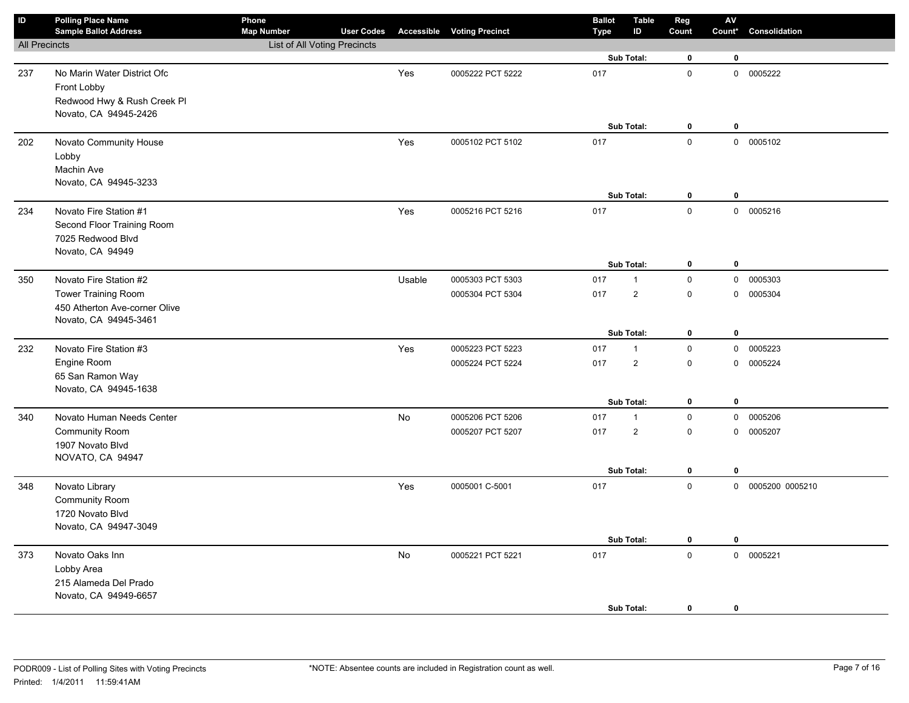| $\sf ID$             | <b>Polling Place Name</b><br><b>Sample Ballot Address</b> | Phone<br><b>Map Number</b>          | <b>User Codes</b> |        | <b>Accessible Voting Precinct</b> | <b>Ballot</b><br><b>Type</b> | <b>Table</b><br>ID | Reg<br>Count        | $\mathsf{AV}$<br>Count* | Consolidation     |
|----------------------|-----------------------------------------------------------|-------------------------------------|-------------------|--------|-----------------------------------|------------------------------|--------------------|---------------------|-------------------------|-------------------|
| <b>All Precincts</b> |                                                           | <b>List of All Voting Precincts</b> |                   |        |                                   |                              |                    |                     |                         |                   |
|                      |                                                           |                                     |                   |        |                                   |                              | Sub Total:         | $\mathbf 0$         | $\bf{0}$                |                   |
| 237                  | No Marin Water District Ofc                               |                                     |                   | Yes    | 0005222 PCT 5222                  | 017                          |                    | $\mathbf 0$         |                         | 0 0005222         |
|                      | Front Lobby                                               |                                     |                   |        |                                   |                              |                    |                     |                         |                   |
|                      | Redwood Hwy & Rush Creek Pl                               |                                     |                   |        |                                   |                              |                    |                     |                         |                   |
|                      | Novato, CA 94945-2426                                     |                                     |                   |        |                                   |                              |                    |                     |                         |                   |
|                      |                                                           |                                     |                   |        |                                   |                              | Sub Total:         | $\mathbf 0$         | $\mathbf 0$             |                   |
| 202                  | Novato Community House                                    |                                     |                   | Yes    | 0005102 PCT 5102                  | 017                          |                    | $\mathsf 0$         |                         | 0 0005102         |
|                      | Lobby                                                     |                                     |                   |        |                                   |                              |                    |                     |                         |                   |
|                      | Machin Ave                                                |                                     |                   |        |                                   |                              |                    |                     |                         |                   |
|                      | Novato, CA 94945-3233                                     |                                     |                   |        |                                   |                              | Sub Total:         | $\pmb{0}$           | $\mathbf 0$             |                   |
| 234                  | Novato Fire Station #1                                    |                                     |                   | Yes    | 0005216 PCT 5216                  | 017                          |                    | $\mathsf 0$         |                         | 0 0005216         |
|                      | Second Floor Training Room                                |                                     |                   |        |                                   |                              |                    |                     |                         |                   |
|                      | 7025 Redwood Blvd                                         |                                     |                   |        |                                   |                              |                    |                     |                         |                   |
|                      | Novato, CA 94949                                          |                                     |                   |        |                                   |                              |                    |                     |                         |                   |
|                      |                                                           |                                     |                   |        |                                   |                              | Sub Total:         | $\mathbf 0$         | $\pmb{0}$               |                   |
| 350                  | Novato Fire Station #2                                    |                                     |                   | Usable | 0005303 PCT 5303                  | 017                          | $\mathbf{1}$       | $\mathsf 0$         | $\mathbf 0$             | 0005303           |
|                      | <b>Tower Training Room</b>                                |                                     |                   |        | 0005304 PCT 5304                  | 017                          | $\overline{2}$     | $\mathsf 0$         | $\mathbf 0$             | 0005304           |
|                      | 450 Atherton Ave-corner Olive                             |                                     |                   |        |                                   |                              |                    |                     |                         |                   |
|                      | Novato, CA 94945-3461                                     |                                     |                   |        |                                   |                              |                    |                     |                         |                   |
|                      |                                                           |                                     |                   |        |                                   |                              | Sub Total:         | $\mathbf 0$         | $\bf{0}$                |                   |
| 232                  | Novato Fire Station #3                                    |                                     |                   | Yes    | 0005223 PCT 5223                  | 017                          | $\mathbf{1}$       | $\pmb{0}$           | $\mathbf 0$             | 0005223           |
|                      | Engine Room                                               |                                     |                   |        | 0005224 PCT 5224                  | 017                          | $\overline{2}$     | $\mathsf 0$         | $\mathbf 0$             | 0005224           |
|                      | 65 San Ramon Way                                          |                                     |                   |        |                                   |                              |                    |                     |                         |                   |
|                      | Novato, CA 94945-1638                                     |                                     |                   |        |                                   |                              | Sub Total:         | $\mathbf 0$         | $\mathbf 0$             |                   |
| 340                  | Novato Human Needs Center                                 |                                     |                   | No     | 0005206 PCT 5206                  | 017                          | $\mathbf{1}$       | $\mathsf 0$         | $\mathbf{0}$            | 0005206           |
|                      | <b>Community Room</b>                                     |                                     |                   |        | 0005207 PCT 5207                  | 017                          | $\overline{2}$     | $\pmb{0}$           |                         | 0 0005207         |
|                      | 1907 Novato Blvd                                          |                                     |                   |        |                                   |                              |                    |                     |                         |                   |
|                      | NOVATO, CA 94947                                          |                                     |                   |        |                                   |                              |                    |                     |                         |                   |
|                      |                                                           |                                     |                   |        |                                   |                              | Sub Total:         | 0                   | $\pmb{0}$               |                   |
| 348                  | Novato Library                                            |                                     |                   | Yes    | 0005001 C-5001                    | 017                          |                    | $\mathbf 0$         |                         | 0 0005200 0005210 |
|                      | Community Room                                            |                                     |                   |        |                                   |                              |                    |                     |                         |                   |
|                      | 1720 Novato Blvd                                          |                                     |                   |        |                                   |                              |                    |                     |                         |                   |
|                      | Novato, CA 94947-3049                                     |                                     |                   |        |                                   |                              |                    |                     |                         |                   |
|                      |                                                           |                                     |                   |        |                                   |                              | Sub Total:         | $\mathbf 0$         | $\mathbf 0$             |                   |
| 373                  | Novato Oaks Inn                                           |                                     |                   | No     | 0005221 PCT 5221                  | 017                          |                    | $\mathsf{O}\xspace$ | $\mathbf 0$             | 0005221           |
|                      | Lobby Area                                                |                                     |                   |        |                                   |                              |                    |                     |                         |                   |
|                      | 215 Alameda Del Prado                                     |                                     |                   |        |                                   |                              |                    |                     |                         |                   |
|                      | Novato, CA 94949-6657                                     |                                     |                   |        |                                   |                              |                    |                     |                         |                   |
|                      |                                                           |                                     |                   |        |                                   |                              | Sub Total:         | $\mathbf 0$         | $\mathbf 0$             |                   |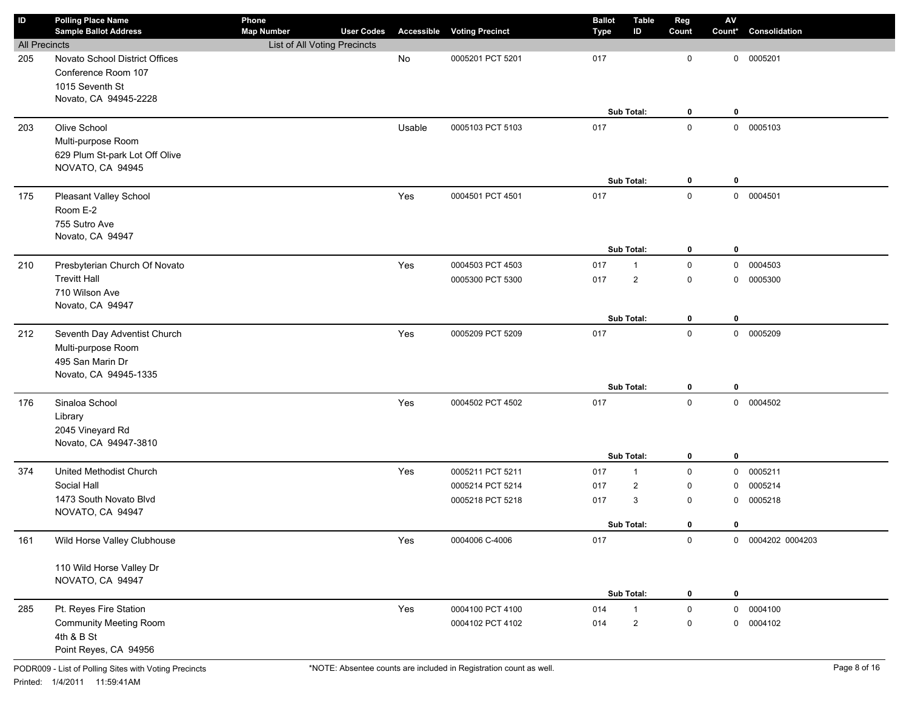| ID                   | <b>Polling Place Name</b>      | Phone                                             |                   |               |                                   | <b>Ballot</b> | <b>Table</b>            | Reg          | $\mathsf{A}\mathsf{V}$ |                   |
|----------------------|--------------------------------|---------------------------------------------------|-------------------|---------------|-----------------------------------|---------------|-------------------------|--------------|------------------------|-------------------|
| <b>All Precincts</b> | <b>Sample Ballot Address</b>   | <b>Map Number</b><br>List of All Voting Precincts | <b>User Codes</b> |               | <b>Accessible Voting Precinct</b> | Type          | ID                      | Count        | Count*                 | Consolidation     |
| 205                  | Novato School District Offices |                                                   |                   | $\mathsf{No}$ | 0005201 PCT 5201                  | 017           |                         | 0            | 0                      | 0005201           |
|                      | Conference Room 107            |                                                   |                   |               |                                   |               |                         |              |                        |                   |
|                      | 1015 Seventh St                |                                                   |                   |               |                                   |               |                         |              |                        |                   |
|                      | Novato, CA 94945-2228          |                                                   |                   |               |                                   |               |                         |              |                        |                   |
|                      |                                |                                                   |                   |               |                                   |               | Sub Total:              | 0            | 0                      |                   |
| 203                  | Olive School                   |                                                   |                   | Usable        | 0005103 PCT 5103                  | 017           |                         | $\mathsf 0$  |                        | 0 0005103         |
|                      | Multi-purpose Room             |                                                   |                   |               |                                   |               |                         |              |                        |                   |
|                      | 629 Plum St-park Lot Off Olive |                                                   |                   |               |                                   |               |                         |              |                        |                   |
|                      | NOVATO, CA 94945               |                                                   |                   |               |                                   |               |                         |              |                        |                   |
|                      |                                |                                                   |                   |               |                                   |               | Sub Total:              | 0            | 0                      |                   |
| 175                  | Pleasant Valley School         |                                                   |                   | Yes           | 0004501 PCT 4501                  | 017           |                         | $\mathsf 0$  |                        | 0 0004501         |
|                      | Room E-2                       |                                                   |                   |               |                                   |               |                         |              |                        |                   |
|                      | 755 Sutro Ave                  |                                                   |                   |               |                                   |               |                         |              |                        |                   |
|                      | Novato, CA 94947               |                                                   |                   |               |                                   |               |                         |              |                        |                   |
|                      |                                |                                                   |                   |               |                                   |               | Sub Total:              | 0            | $\mathbf 0$            |                   |
| 210                  | Presbyterian Church Of Novato  |                                                   |                   | Yes           | 0004503 PCT 4503                  | 017           | $\mathbf{1}$            | $\mathsf 0$  | $\mathbf 0$            | 0004503           |
|                      | <b>Trevitt Hall</b>            |                                                   |                   |               | 0005300 PCT 5300                  | 017           | $\overline{2}$          | 0            | 0                      | 0005300           |
|                      | 710 Wilson Ave                 |                                                   |                   |               |                                   |               |                         |              |                        |                   |
|                      | Novato, CA 94947               |                                                   |                   |               |                                   |               |                         |              |                        |                   |
|                      |                                |                                                   |                   |               |                                   |               | Sub Total:              | 0            | $\mathbf 0$            |                   |
| 212                  | Seventh Day Adventist Church   |                                                   |                   | Yes           | 0005209 PCT 5209                  | 017           |                         | $\mathbf 0$  |                        | 0 0005209         |
|                      | Multi-purpose Room             |                                                   |                   |               |                                   |               |                         |              |                        |                   |
|                      | 495 San Marin Dr               |                                                   |                   |               |                                   |               |                         |              |                        |                   |
|                      | Novato, CA 94945-1335          |                                                   |                   |               |                                   |               |                         |              |                        |                   |
|                      |                                |                                                   |                   |               |                                   |               | Sub Total:              | 0            | $\mathbf 0$            |                   |
| 176                  | Sinaloa School                 |                                                   |                   | Yes           | 0004502 PCT 4502                  | 017           |                         | $\mathbf 0$  |                        | 0 0004502         |
|                      | Library                        |                                                   |                   |               |                                   |               |                         |              |                        |                   |
|                      | 2045 Vineyard Rd               |                                                   |                   |               |                                   |               |                         |              |                        |                   |
|                      | Novato, CA 94947-3810          |                                                   |                   |               |                                   |               | Sub Total:              | 0            | $\mathbf 0$            |                   |
| 374                  | United Methodist Church        |                                                   |                   | Yes           | 0005211 PCT 5211                  | 017           | $\mathbf{1}$            | $\mathbf 0$  | $\mathbf 0$            | 0005211           |
|                      | Social Hall                    |                                                   |                   |               | 0005214 PCT 5214                  | 017           | $\overline{2}$          | 0            | 0                      | 0005214           |
|                      | 1473 South Novato Blvd         |                                                   |                   |               | 0005218 PCT 5218                  | 017           | 3                       | 0            | 0                      | 0005218           |
|                      | NOVATO, CA 94947               |                                                   |                   |               |                                   |               |                         |              |                        |                   |
|                      |                                |                                                   |                   |               |                                   |               | Sub Total:              | 0            | 0                      |                   |
| 161                  | Wild Horse Valley Clubhouse    |                                                   |                   | Yes           | 0004006 C-4006                    | 017           |                         | $\mathsf{O}$ |                        | 0 0004202 0004203 |
|                      |                                |                                                   |                   |               |                                   |               |                         |              |                        |                   |
|                      | 110 Wild Horse Valley Dr       |                                                   |                   |               |                                   |               |                         |              |                        |                   |
|                      | NOVATO, CA 94947               |                                                   |                   |               |                                   |               |                         |              |                        |                   |
|                      |                                |                                                   |                   |               |                                   |               | Sub Total:              | 0            | 0                      |                   |
| 285                  | Pt. Reyes Fire Station         |                                                   |                   | Yes           | 0004100 PCT 4100                  | 014           | $\mathbf{1}$            | $\mathsf 0$  |                        | 0 0004100         |
|                      | <b>Community Meeting Room</b>  |                                                   |                   |               | 0004102 PCT 4102                  | 014           | $\overline{\mathbf{c}}$ | 0            | 0                      | 0004102           |
|                      | 4th & B St                     |                                                   |                   |               |                                   |               |                         |              |                        |                   |
|                      | Point Reyes, CA 94956          |                                                   |                   |               |                                   |               |                         |              |                        |                   |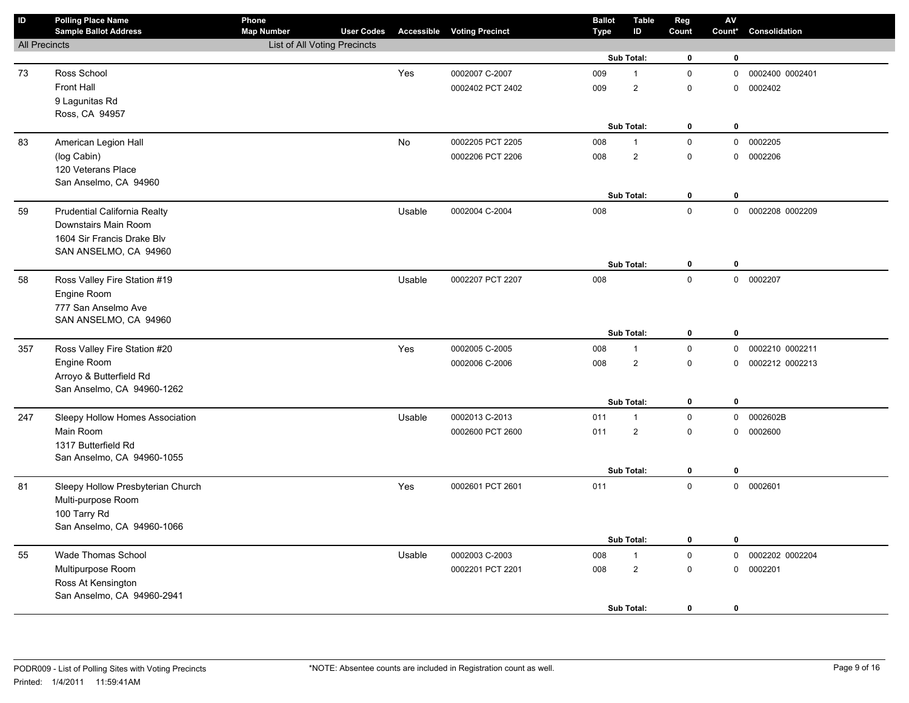| $\sf ID$             | <b>Polling Place Name</b><br><b>Sample Ballot Address</b> | Phone<br><b>Map Number</b>   | <b>User Codes</b> |        | <b>Accessible Voting Precinct</b> | <b>Ballot</b><br><b>Type</b> | <b>Table</b><br>ID | Reg<br>Count | ${\sf AV}$<br>Count* | Consolidation     |
|----------------------|-----------------------------------------------------------|------------------------------|-------------------|--------|-----------------------------------|------------------------------|--------------------|--------------|----------------------|-------------------|
| <b>All Precincts</b> |                                                           | List of All Voting Precincts |                   |        |                                   |                              |                    |              |                      |                   |
|                      |                                                           |                              |                   |        |                                   |                              | Sub Total:         | $\mathbf 0$  | 0                    |                   |
| 73                   | Ross School                                               |                              |                   | Yes    | 0002007 C-2007                    | 009                          | $\mathbf{1}$       | $\pmb{0}$    | $\mathbf 0$          | 0002400 0002401   |
|                      | <b>Front Hall</b>                                         |                              |                   |        | 0002402 PCT 2402                  | 009                          | $\sqrt{2}$         | $\pmb{0}$    | $\mathbf 0$          | 0002402           |
|                      | 9 Lagunitas Rd                                            |                              |                   |        |                                   |                              |                    |              |                      |                   |
|                      | Ross, CA 94957                                            |                              |                   |        |                                   |                              |                    |              |                      |                   |
|                      |                                                           |                              |                   |        |                                   |                              | Sub Total:         | $\pmb{0}$    | $\bf{0}$             |                   |
| 83                   | American Legion Hall                                      |                              |                   | No     | 0002205 PCT 2205                  | 008                          | $\mathbf{1}$       | $\mathbf 0$  | $\mathbf 0$          | 0002205           |
|                      | (log Cabin)                                               |                              |                   |        | 0002206 PCT 2206                  | 008                          | $\overline{2}$     | $\pmb{0}$    | $\mathbf 0$          | 0002206           |
|                      | 120 Veterans Place                                        |                              |                   |        |                                   |                              |                    |              |                      |                   |
|                      | San Anselmo, CA 94960                                     |                              |                   |        |                                   |                              |                    |              |                      |                   |
|                      |                                                           |                              |                   |        |                                   |                              | Sub Total:         | $\mathbf 0$  | $\mathbf 0$          |                   |
| 59                   | Prudential California Realty                              |                              |                   | Usable | 0002004 C-2004                    | 008                          |                    | $\mathbf 0$  |                      | 0 0002208 0002209 |
|                      | Downstairs Main Room                                      |                              |                   |        |                                   |                              |                    |              |                      |                   |
|                      | 1604 Sir Francis Drake Blv                                |                              |                   |        |                                   |                              |                    |              |                      |                   |
|                      | SAN ANSELMO, CA 94960                                     |                              |                   |        |                                   |                              |                    |              |                      |                   |
|                      |                                                           |                              |                   |        |                                   |                              | Sub Total:         | 0            | 0                    |                   |
| 58                   | Ross Valley Fire Station #19                              |                              |                   | Usable | 0002207 PCT 2207                  | 008                          |                    | $\mathbf 0$  |                      | 0 0002207         |
|                      | Engine Room<br>777 San Anselmo Ave                        |                              |                   |        |                                   |                              |                    |              |                      |                   |
|                      | SAN ANSELMO, CA 94960                                     |                              |                   |        |                                   |                              |                    |              |                      |                   |
|                      |                                                           |                              |                   |        |                                   |                              | Sub Total:         | $\pmb{0}$    | $\bf{0}$             |                   |
| 357                  | Ross Valley Fire Station #20                              |                              |                   | Yes    | 0002005 C-2005                    | 008                          | $\mathbf{1}$       | $\pmb{0}$    | $\mathbf 0$          | 0002210 0002211   |
|                      | Engine Room                                               |                              |                   |        | 0002006 C-2006                    | 008                          | $\overline{2}$     | $\pmb{0}$    | $\mathbf 0$          | 0002212 0002213   |
|                      | Arroyo & Butterfield Rd                                   |                              |                   |        |                                   |                              |                    |              |                      |                   |
|                      | San Anselmo, CA 94960-1262                                |                              |                   |        |                                   |                              |                    |              |                      |                   |
|                      |                                                           |                              |                   |        |                                   |                              | Sub Total:         | $\bf{0}$     | $\bf{0}$             |                   |
| 247                  | Sleepy Hollow Homes Association                           |                              |                   | Usable | 0002013 C-2013                    | 011                          | $\mathbf{1}$       | $\pmb{0}$    | $\mathbf{0}$         | 0002602B          |
|                      | Main Room                                                 |                              |                   |        | 0002600 PCT 2600                  | 011                          | $\overline{2}$     | $\pmb{0}$    |                      | 0 0002600         |
|                      | 1317 Butterfield Rd                                       |                              |                   |        |                                   |                              |                    |              |                      |                   |
|                      | San Anselmo, CA 94960-1055                                |                              |                   |        |                                   |                              |                    |              |                      |                   |
|                      |                                                           |                              |                   |        |                                   |                              | Sub Total:         | 0            | $\bf{0}$             |                   |
| 81                   | Sleepy Hollow Presbyterian Church                         |                              |                   | Yes    | 0002601 PCT 2601                  | 011                          |                    | $\mathbf 0$  |                      | 0 0002601         |
|                      | Multi-purpose Room                                        |                              |                   |        |                                   |                              |                    |              |                      |                   |
|                      | 100 Tarry Rd                                              |                              |                   |        |                                   |                              |                    |              |                      |                   |
|                      | San Anselmo, CA 94960-1066                                |                              |                   |        |                                   |                              |                    |              |                      |                   |
|                      |                                                           |                              |                   |        |                                   |                              | Sub Total:         | $\bf{0}$     | $\mathbf 0$          |                   |
| 55                   | Wade Thomas School                                        |                              |                   | Usable | 0002003 C-2003                    | 008                          | $\mathbf{1}$       | $\mathsf 0$  | $\mathsf 0$          | 0002202 0002204   |
|                      | Multipurpose Room                                         |                              |                   |        | 0002201 PCT 2201                  | 008                          | $\overline{2}$     | $\mathbf 0$  |                      | 0 0002201         |
|                      | Ross At Kensington<br>San Anselmo, CA 94960-2941          |                              |                   |        |                                   |                              |                    |              |                      |                   |
|                      |                                                           |                              |                   |        |                                   |                              | Sub Total:         | $\mathbf 0$  | $\mathbf 0$          |                   |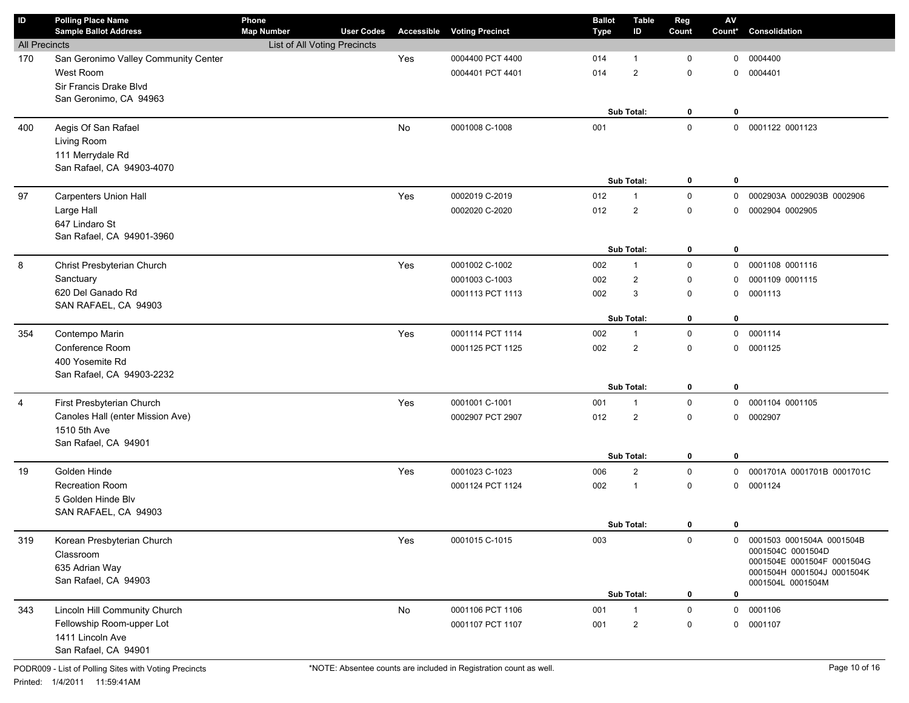| ID                   | <b>Polling Place Name</b><br><b>Sample Ballot Address</b> | Phone<br><b>Map Number</b>   | <b>User Codes</b> |     | <b>Accessible Voting Precinct</b> | <b>Ballot</b><br><b>Type</b> | Table<br>ID       | Reg<br>Count        | ${\sf AV}$<br>Count* | Consolidation                                   |
|----------------------|-----------------------------------------------------------|------------------------------|-------------------|-----|-----------------------------------|------------------------------|-------------------|---------------------|----------------------|-------------------------------------------------|
| <b>All Precincts</b> |                                                           | List of All Voting Precincts |                   |     |                                   |                              |                   |                     |                      |                                                 |
| 170                  | San Geronimo Valley Community Center                      |                              |                   | Yes | 0004400 PCT 4400                  | 014                          | $\mathbf{1}$      | 0                   | 0                    | 0004400                                         |
|                      | West Room                                                 |                              |                   |     | 0004401 PCT 4401                  | 014                          | $\overline{2}$    | 0                   | 0                    | 0004401                                         |
|                      | Sir Francis Drake Blvd                                    |                              |                   |     |                                   |                              |                   |                     |                      |                                                 |
|                      | San Geronimo, CA 94963                                    |                              |                   |     |                                   |                              |                   |                     |                      |                                                 |
|                      |                                                           |                              |                   |     |                                   |                              | Sub Total:        | 0                   | 0                    |                                                 |
| 400                  | Aegis Of San Rafael                                       |                              |                   | No  | 0001008 C-1008                    | 001                          |                   | $\mathbf 0$         |                      | 0 0001122 0001123                               |
|                      | Living Room                                               |                              |                   |     |                                   |                              |                   |                     |                      |                                                 |
|                      | 111 Merrydale Rd<br>San Rafael, CA 94903-4070             |                              |                   |     |                                   |                              |                   |                     |                      |                                                 |
|                      |                                                           |                              |                   |     |                                   |                              | Sub Total:        | 0                   | $\mathbf 0$          |                                                 |
| 97                   | <b>Carpenters Union Hall</b>                              |                              |                   | Yes | 0002019 C-2019                    | 012                          | $\mathbf{1}$      | 0                   | $\mathbf 0$          | 0002903A 0002903B 0002906                       |
|                      | Large Hall                                                |                              |                   |     | 0002020 C-2020                    | 012                          | $\overline{2}$    | 0                   | 0                    | 0002904 0002905                                 |
|                      | 647 Lindaro St                                            |                              |                   |     |                                   |                              |                   |                     |                      |                                                 |
|                      | San Rafael, CA 94901-3960                                 |                              |                   |     |                                   |                              |                   |                     |                      |                                                 |
|                      |                                                           |                              |                   |     |                                   |                              | Sub Total:        | 0                   | 0                    |                                                 |
| 8                    | Christ Presbyterian Church                                |                              |                   | Yes | 0001002 C-1002                    | 002                          | $\mathbf{1}$      | 0                   | 0                    | 0001108 0001116                                 |
|                      | Sanctuary                                                 |                              |                   |     | 0001003 C-1003                    | 002                          | $\overline{2}$    | 0                   | 0                    | 0001109 0001115                                 |
|                      | 620 Del Ganado Rd                                         |                              |                   |     | 0001113 PCT 1113                  | 002                          | 3                 | 0                   | 0                    | 0001113                                         |
|                      | SAN RAFAEL, CA 94903                                      |                              |                   |     |                                   |                              |                   |                     |                      |                                                 |
|                      |                                                           |                              |                   |     |                                   |                              | <b>Sub Total:</b> | 0                   | 0                    |                                                 |
| 354                  | Contempo Marin                                            |                              |                   | Yes | 0001114 PCT 1114                  | 002                          | $\mathbf{1}$      | $\mathsf{O}$        | $\mathbf 0$          | 0001114                                         |
|                      | Conference Room                                           |                              |                   |     | 0001125 PCT 1125                  | 002                          | $\overline{2}$    | 0                   | $\mathbf 0$          | 0001125                                         |
|                      | 400 Yosemite Rd                                           |                              |                   |     |                                   |                              |                   |                     |                      |                                                 |
|                      | San Rafael, CA 94903-2232                                 |                              |                   |     |                                   |                              |                   |                     |                      |                                                 |
|                      |                                                           |                              |                   |     |                                   |                              | Sub Total:        | 0                   | 0                    |                                                 |
| $\overline{4}$       | First Presbyterian Church                                 |                              |                   | Yes | 0001001 C-1001                    | 001                          | $\mathbf{1}$      | 0                   | $\mathbf 0$          | 0001104 0001105                                 |
|                      | Canoles Hall (enter Mission Ave)                          |                              |                   |     | 0002907 PCT 2907                  | 012                          | $\overline{2}$    | 0                   | 0                    | 0002907                                         |
|                      | 1510 5th Ave<br>San Rafael, CA 94901                      |                              |                   |     |                                   |                              |                   |                     |                      |                                                 |
|                      |                                                           |                              |                   |     |                                   |                              | Sub Total:        | 0                   | 0                    |                                                 |
| 19                   | Golden Hinde                                              |                              |                   | Yes | 0001023 C-1023                    | 006                          | $\overline{2}$    | 0                   | 0                    | 0001701A 0001701B 0001701C                      |
|                      | Recreation Room                                           |                              |                   |     | 0001124 PCT 1124                  | 002                          | $\overline{1}$    | 0                   | $\mathbf 0$          | 0001124                                         |
|                      | 5 Golden Hinde Blv                                        |                              |                   |     |                                   |                              |                   |                     |                      |                                                 |
|                      | SAN RAFAEL, CA 94903                                      |                              |                   |     |                                   |                              |                   |                     |                      |                                                 |
|                      |                                                           |                              |                   |     |                                   |                              | Sub Total:        | $\mathbf{0}$        | $\mathbf 0$          |                                                 |
| 319                  | Korean Presbyterian Church                                |                              |                   | Yes | 0001015 C-1015                    | 003                          |                   | 0                   | $\mathbf{0}$         | 0001503 0001504A 0001504B                       |
|                      | Classroom                                                 |                              |                   |     |                                   |                              |                   |                     |                      | 0001504C 0001504D<br>0001504E 0001504F 0001504G |
|                      | 635 Adrian Way                                            |                              |                   |     |                                   |                              |                   |                     |                      | 0001504H 0001504J 0001504K                      |
|                      | San Rafael, CA 94903                                      |                              |                   |     |                                   |                              |                   |                     |                      | 0001504L 0001504M                               |
|                      |                                                           |                              |                   |     |                                   |                              | Sub Total:        | 0                   | 0                    |                                                 |
| 343                  | Lincoln Hill Community Church                             |                              |                   | No  | 0001106 PCT 1106                  | 001                          |                   | $\mathsf{O}\xspace$ | 0                    | 0001106                                         |
|                      | Fellowship Room-upper Lot                                 |                              |                   |     | 0001107 PCT 1107                  | 001                          | $\overline{2}$    | 0                   | 0                    | 0001107                                         |
|                      | 1411 Lincoln Ave                                          |                              |                   |     |                                   |                              |                   |                     |                      |                                                 |
|                      | San Rafael, CA 94901                                      |                              |                   |     |                                   |                              |                   |                     |                      |                                                 |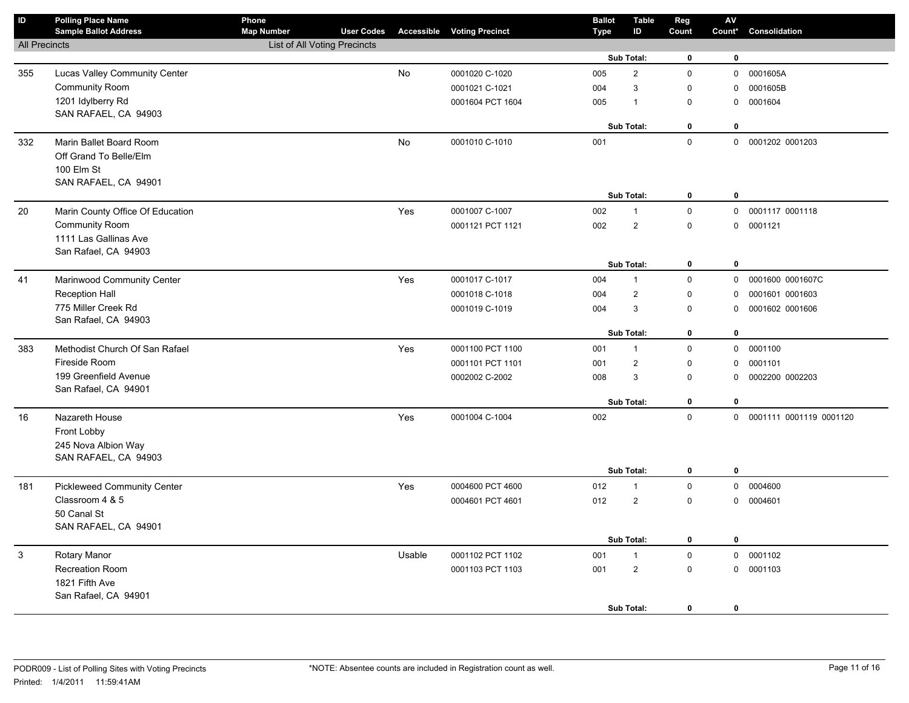| $\sf ID$             | <b>Polling Place Name</b><br><b>Sample Ballot Address</b> | Phone<br><b>Map Number</b>   | <b>User Codes</b> |        | <b>Accessible Voting Precinct</b> | <b>Ballot</b><br>Type | <b>Table</b><br>ID | Reg<br>Count | AV<br>Count* | Consolidation             |
|----------------------|-----------------------------------------------------------|------------------------------|-------------------|--------|-----------------------------------|-----------------------|--------------------|--------------|--------------|---------------------------|
| <b>All Precincts</b> |                                                           | List of All Voting Precincts |                   |        |                                   |                       |                    |              |              |                           |
|                      |                                                           |                              |                   |        |                                   |                       | Sub Total:         | $\mathbf 0$  | $\mathbf 0$  |                           |
| 355                  | Lucas Valley Community Center                             |                              |                   | No     | 0001020 C-1020                    | 005                   | $\overline{2}$     | $\mathbf 0$  | $\mathsf 0$  | 0001605A                  |
|                      | Community Room                                            |                              |                   |        | 0001021 C-1021                    | 004                   | 3                  | $\mathbf 0$  | $\mathbf 0$  | 0001605B                  |
|                      | 1201 Idylberry Rd                                         |                              |                   |        | 0001604 PCT 1604                  | 005                   | $\mathbf{1}$       | $\mathbf 0$  | 0            | 0001604                   |
|                      | SAN RAFAEL, CA 94903                                      |                              |                   |        |                                   |                       |                    |              |              |                           |
|                      |                                                           |                              |                   |        |                                   |                       | Sub Total:         | $\mathbf 0$  | $\mathbf 0$  |                           |
| 332                  | Marin Ballet Board Room                                   |                              |                   | No     | 0001010 C-1010                    | 001                   |                    | $\pmb{0}$    |              | 0 0001202 0001203         |
|                      | Off Grand To Belle/Elm                                    |                              |                   |        |                                   |                       |                    |              |              |                           |
|                      | 100 Elm St                                                |                              |                   |        |                                   |                       |                    |              |              |                           |
|                      | SAN RAFAEL, CA 94901                                      |                              |                   |        |                                   |                       | Sub Total:         | 0            | $\mathbf 0$  |                           |
| 20                   | Marin County Office Of Education                          |                              |                   | Yes    | 0001007 C-1007                    | 002                   | $\mathbf{1}$       | $\mathbf 0$  | $\mathbf 0$  | 0001117 0001118           |
|                      | <b>Community Room</b>                                     |                              |                   |        | 0001121 PCT 1121                  | 002                   | $\overline{2}$     | $\mathbf 0$  | 0            | 0001121                   |
|                      | 1111 Las Gallinas Ave                                     |                              |                   |        |                                   |                       |                    |              |              |                           |
|                      | San Rafael, CA 94903                                      |                              |                   |        |                                   |                       |                    |              |              |                           |
|                      |                                                           |                              |                   |        |                                   |                       | Sub Total:         | 0            | 0            |                           |
| 41                   | Marinwood Community Center                                |                              |                   | Yes    | 0001017 C-1017                    | 004                   | $\mathbf{1}$       | $\mathbf 0$  | 0            | 0001600 0001607C          |
|                      | <b>Reception Hall</b>                                     |                              |                   |        | 0001018 C-1018                    | 004                   | $\overline{2}$     | $\mathbf 0$  | 0            | 0001601 0001603           |
|                      | 775 Miller Creek Rd                                       |                              |                   |        | 0001019 C-1019                    | 004                   | 3                  | $\mathbf 0$  | 0            | 0001602 0001606           |
|                      | San Rafael, CA 94903                                      |                              |                   |        |                                   |                       |                    |              |              |                           |
|                      |                                                           |                              |                   |        |                                   |                       | Sub Total:         | 0            | 0            |                           |
| 383                  | Methodist Church Of San Rafael                            |                              |                   | Yes    | 0001100 PCT 1100                  | 001                   | $\mathbf{1}$       | $\mathbf 0$  |              | 0 0001100                 |
|                      | Fireside Room                                             |                              |                   |        | 0001101 PCT 1101                  | 001                   | $\overline{2}$     | $\mathsf 0$  | 0            | 0001101                   |
|                      | 199 Greenfield Avenue                                     |                              |                   |        | 0002002 C-2002                    | 008                   | 3                  | $\mathsf 0$  | 0            | 0002200 0002203           |
|                      | San Rafael, CA 94901                                      |                              |                   |        |                                   |                       | Sub Total:         | $\bf{0}$     | $\bf{0}$     |                           |
|                      |                                                           |                              |                   |        |                                   |                       |                    | $\mathbf 0$  |              |                           |
| 16                   | Nazareth House                                            |                              |                   | Yes    | 0001004 C-1004                    | 002                   |                    |              |              | 0 0001111 0001119 0001120 |
|                      | Front Lobby<br>245 Nova Albion Way                        |                              |                   |        |                                   |                       |                    |              |              |                           |
|                      | SAN RAFAEL, CA 94903                                      |                              |                   |        |                                   |                       |                    |              |              |                           |
|                      |                                                           |                              |                   |        |                                   |                       | Sub Total:         | 0            | $\mathbf{0}$ |                           |
| 181                  | <b>Pickleweed Community Center</b>                        |                              |                   | Yes    | 0004600 PCT 4600                  | 012                   | $\mathbf{1}$       | $\pmb{0}$    | $\mathsf{O}$ | 0004600                   |
|                      | Classroom 4 & 5                                           |                              |                   |        | 0004601 PCT 4601                  | 012                   | $\overline{c}$     | $\mathbf 0$  | $\mathbf 0$  | 0004601                   |
|                      | 50 Canal St                                               |                              |                   |        |                                   |                       |                    |              |              |                           |
|                      | SAN RAFAEL, CA 94901                                      |                              |                   |        |                                   |                       |                    |              |              |                           |
|                      |                                                           |                              |                   |        |                                   |                       | Sub Total:         | 0            | 0            |                           |
| 3                    | Rotary Manor                                              |                              |                   | Usable | 0001102 PCT 1102                  | 001                   | $\mathbf{1}$       | $\pmb{0}$    | 0            | 0001102                   |
|                      | <b>Recreation Room</b>                                    |                              |                   |        | 0001103 PCT 1103                  | 001                   | $\overline{2}$     | $\mathbf 0$  |              | 0 0001103                 |
|                      | 1821 Fifth Ave                                            |                              |                   |        |                                   |                       |                    |              |              |                           |
|                      | San Rafael, CA 94901                                      |                              |                   |        |                                   |                       |                    |              |              |                           |
|                      |                                                           |                              |                   |        |                                   |                       | Sub Total:         | 0            | $\mathbf 0$  |                           |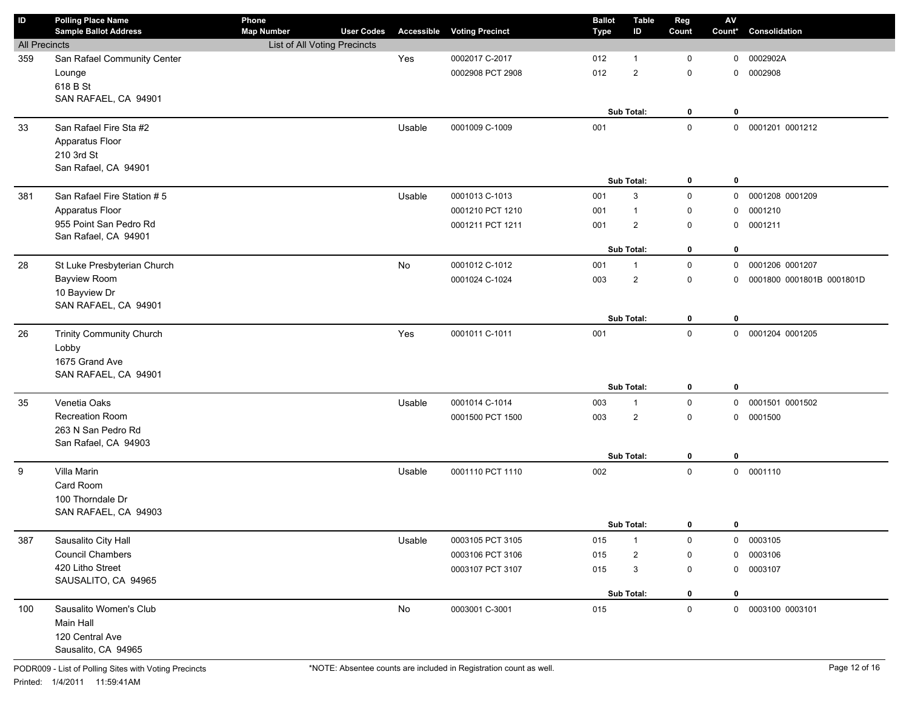| ID                   | <b>Polling Place Name</b><br><b>Sample Ballot Address</b> | Phone<br><b>Map Number</b>   | <b>User Codes</b> | <b>Accessible</b> | <b>Voting Precinct</b> | <b>Ballot</b> | <b>Table</b><br>ID | Reg<br>Count        | ${\sf AV}$<br>Count* | Consolidation             |
|----------------------|-----------------------------------------------------------|------------------------------|-------------------|-------------------|------------------------|---------------|--------------------|---------------------|----------------------|---------------------------|
| <b>All Precincts</b> |                                                           | List of All Voting Precincts |                   |                   |                        | <b>Type</b>   |                    |                     |                      |                           |
| 359                  | San Rafael Community Center                               |                              |                   | Yes               | 0002017 C-2017         | 012           | $\mathbf 1$        | $\mathbf 0$         | 0                    | 0002902A                  |
|                      | Lounge                                                    |                              |                   |                   | 0002908 PCT 2908       | 012           | $\overline{2}$     | $\mathbf 0$         | 0                    | 0002908                   |
|                      | 618 B St                                                  |                              |                   |                   |                        |               |                    |                     |                      |                           |
|                      | SAN RAFAEL, CA 94901                                      |                              |                   |                   |                        |               |                    |                     |                      |                           |
|                      |                                                           |                              |                   |                   |                        |               | Sub Total:         | 0                   | $\mathbf 0$          |                           |
| 33                   | San Rafael Fire Sta #2                                    |                              |                   | Usable            | 0001009 C-1009         | 001           |                    | $\mathsf 0$         |                      | 0 0001201 0001212         |
|                      | Apparatus Floor                                           |                              |                   |                   |                        |               |                    |                     |                      |                           |
|                      | 210 3rd St                                                |                              |                   |                   |                        |               |                    |                     |                      |                           |
|                      | San Rafael, CA 94901                                      |                              |                   |                   |                        |               |                    |                     |                      |                           |
|                      |                                                           |                              |                   |                   |                        |               | Sub Total:         | 0                   | $\mathbf 0$          |                           |
| 381                  | San Rafael Fire Station #5                                |                              |                   | Usable            | 0001013 C-1013         | 001           | 3                  | $\mathsf 0$         | 0                    | 0001208 0001209           |
|                      | Apparatus Floor                                           |                              |                   |                   | 0001210 PCT 1210       | 001           | $\mathbf{1}$       | $\mathbf 0$         | 0                    | 0001210                   |
|                      | 955 Point San Pedro Rd                                    |                              |                   |                   | 0001211 PCT 1211       | 001           | $\overline{c}$     | $\mathbf 0$         | 0                    | 0001211                   |
|                      | San Rafael, CA 94901                                      |                              |                   |                   |                        |               |                    |                     |                      |                           |
|                      |                                                           |                              |                   |                   |                        |               | Sub Total:         | 0                   | $\mathbf 0$          |                           |
| 28                   | St Luke Presbyterian Church                               |                              |                   | No                | 0001012 C-1012         | 001           | $\mathbf{1}$       | $\mathsf 0$         | 0                    | 0001206 0001207           |
|                      | Bayview Room                                              |                              |                   |                   | 0001024 C-1024         | 003           | $\overline{2}$     | $\mathsf 0$         | 0                    | 0001800 0001801B 0001801D |
|                      | 10 Bayview Dr                                             |                              |                   |                   |                        |               |                    |                     |                      |                           |
|                      | SAN RAFAEL, CA 94901                                      |                              |                   |                   |                        |               |                    |                     |                      |                           |
|                      |                                                           |                              |                   |                   |                        |               | Sub Total:         | $\mathbf 0$         | $\mathbf 0$          |                           |
| 26                   | <b>Trinity Community Church</b>                           |                              |                   | Yes               | 0001011 C-1011         | 001           |                    | $\mathbf 0$         |                      | 0 0001204 0001205         |
|                      | Lobby                                                     |                              |                   |                   |                        |               |                    |                     |                      |                           |
|                      | 1675 Grand Ave                                            |                              |                   |                   |                        |               |                    |                     |                      |                           |
|                      | SAN RAFAEL, CA 94901                                      |                              |                   |                   |                        |               | Sub Total:         | 0                   | $\mathbf 0$          |                           |
|                      |                                                           |                              |                   |                   |                        |               |                    |                     |                      |                           |
| 35                   | Venetia Oaks                                              |                              |                   | Usable            | 0001014 C-1014         | 003           | $\mathbf{1}$       | $\mathsf 0$         | 0                    | 0001501 0001502           |
|                      | Recreation Room                                           |                              |                   |                   | 0001500 PCT 1500       | 003           | $\overline{2}$     | $\mathbf 0$         | 0                    | 0001500                   |
|                      | 263 N San Pedro Rd<br>San Rafael, CA 94903                |                              |                   |                   |                        |               |                    |                     |                      |                           |
|                      |                                                           |                              |                   |                   |                        |               | Sub Total:         | 0                   | $\mathbf 0$          |                           |
| 9                    | Villa Marin                                               |                              |                   | Usable            | 0001110 PCT 1110       | 002           |                    | $\mathsf 0$         |                      | 0 0001110                 |
|                      | Card Room                                                 |                              |                   |                   |                        |               |                    |                     |                      |                           |
|                      | 100 Thorndale Dr                                          |                              |                   |                   |                        |               |                    |                     |                      |                           |
|                      | SAN RAFAEL, CA 94903                                      |                              |                   |                   |                        |               |                    |                     |                      |                           |
|                      |                                                           |                              |                   |                   |                        |               | Sub Total:         | $\mathbf{0}$        | 0                    |                           |
| 387                  | Sausalito City Hall                                       |                              |                   | Usable            | 0003105 PCT 3105       | 015           | $\overline{1}$     | 0                   |                      | 0 0003105                 |
|                      | <b>Council Chambers</b>                                   |                              |                   |                   | 0003106 PCT 3106       | 015           | 2                  | $\mathbf 0$         | 0                    | 0003106                   |
|                      | 420 Litho Street                                          |                              |                   |                   | 0003107 PCT 3107       | 015           | 3                  | 0                   | 0                    | 0003107                   |
|                      | SAUSALITO, CA 94965                                       |                              |                   |                   |                        |               |                    |                     |                      |                           |
|                      |                                                           |                              |                   |                   |                        |               | Sub Total:         | 0                   | 0                    |                           |
| 100                  | Sausalito Women's Club                                    |                              |                   | No                | 0003001 C-3001         | 015           |                    | $\mathsf{O}\xspace$ |                      | 0 0003100 0003101         |
|                      | Main Hall                                                 |                              |                   |                   |                        |               |                    |                     |                      |                           |
|                      | 120 Central Ave                                           |                              |                   |                   |                        |               |                    |                     |                      |                           |
|                      | Sausalito, CA 94965                                       |                              |                   |                   |                        |               |                    |                     |                      |                           |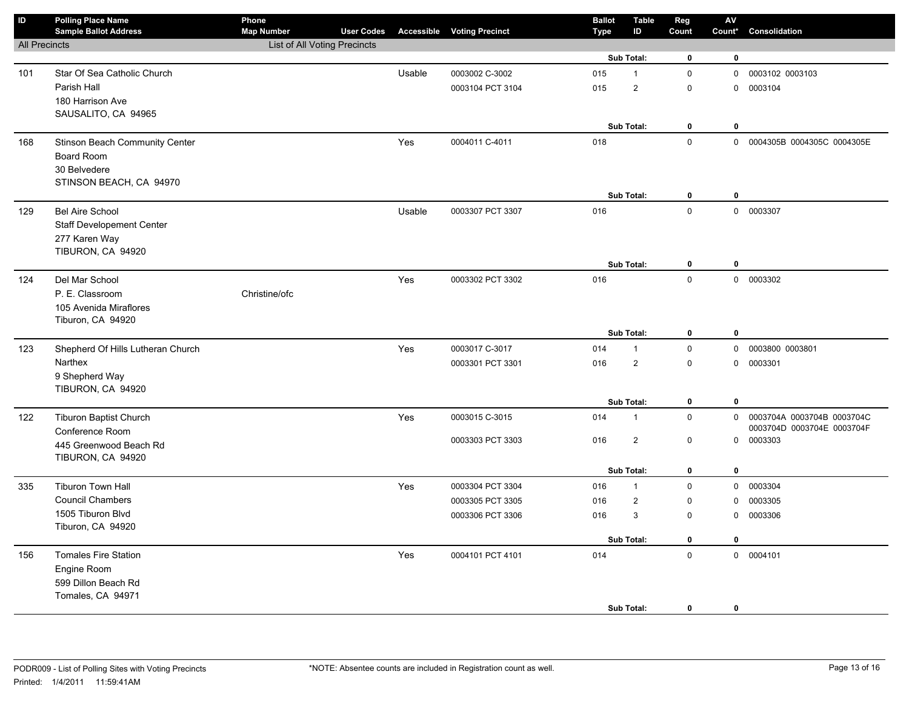| $\overline{D}$       | <b>Polling Place Name</b><br><b>Sample Ballot Address</b> | Phone<br><b>Map Number</b>   | <b>User Codes</b> |        | <b>Accessible Voting Precinct</b> | <b>Ballot</b><br>Type | <b>Table</b><br>ID | Reg<br>Count        | ${\sf AV}$<br>Count* | Consolidation              |
|----------------------|-----------------------------------------------------------|------------------------------|-------------------|--------|-----------------------------------|-----------------------|--------------------|---------------------|----------------------|----------------------------|
| <b>All Precincts</b> |                                                           | List of All Voting Precincts |                   |        |                                   |                       |                    |                     |                      |                            |
|                      |                                                           |                              |                   |        |                                   |                       | Sub Total:         | $\mathbf 0$         | 0                    |                            |
| 101                  | Star Of Sea Catholic Church                               |                              |                   | Usable | 0003002 C-3002                    | 015                   | $\mathbf{1}$       | $\mathbf 0$         | 0                    | 0003102 0003103            |
|                      | Parish Hall                                               |                              |                   |        | 0003104 PCT 3104                  | 015                   | $\overline{c}$     | $\mathbf 0$         | 0                    | 0003104                    |
|                      | 180 Harrison Ave                                          |                              |                   |        |                                   |                       |                    |                     |                      |                            |
|                      | SAUSALITO, CA 94965                                       |                              |                   |        |                                   |                       |                    |                     |                      |                            |
|                      |                                                           |                              |                   |        |                                   |                       | Sub Total:         | $\pmb{0}$           | $\bf{0}$             |                            |
| 168                  | Stinson Beach Community Center                            |                              |                   | Yes    | 0004011 C-4011                    | 018                   |                    | $\mathsf{O}\xspace$ | $\mathsf{O}$         | 0004305B 0004305C 0004305E |
|                      | Board Room                                                |                              |                   |        |                                   |                       |                    |                     |                      |                            |
|                      | 30 Belvedere                                              |                              |                   |        |                                   |                       |                    |                     |                      |                            |
|                      | STINSON BEACH, CA 94970                                   |                              |                   |        |                                   |                       | Sub Total:         | 0                   | $\mathbf 0$          |                            |
| 129                  | <b>Bel Aire School</b>                                    |                              |                   | Usable | 0003307 PCT 3307                  | 016                   |                    | $\mathbf 0$         | $\mathbf 0$          | 0003307                    |
|                      | <b>Staff Developement Center</b>                          |                              |                   |        |                                   |                       |                    |                     |                      |                            |
|                      | 277 Karen Way                                             |                              |                   |        |                                   |                       |                    |                     |                      |                            |
|                      | TIBURON, CA 94920                                         |                              |                   |        |                                   |                       |                    |                     |                      |                            |
|                      |                                                           |                              |                   |        |                                   |                       | Sub Total:         | $\mathbf 0$         | 0                    |                            |
| 124                  | Del Mar School                                            |                              |                   | Yes    | 0003302 PCT 3302                  | 016                   |                    | $\mathbf 0$         |                      | 0 0003302                  |
|                      | P. E. Classroom                                           | Christine/ofc                |                   |        |                                   |                       |                    |                     |                      |                            |
|                      | 105 Avenida Miraflores                                    |                              |                   |        |                                   |                       |                    |                     |                      |                            |
|                      | Tiburon, CA 94920                                         |                              |                   |        |                                   |                       |                    |                     |                      |                            |
|                      |                                                           |                              |                   |        |                                   |                       | Sub Total:         | 0                   | 0                    |                            |
| 123                  | Shepherd Of Hills Lutheran Church                         |                              |                   | Yes    | 0003017 C-3017                    | 014                   | 1                  | $\pmb{0}$           | $\mathsf{O}$         | 0003800 0003801            |
|                      | Narthex                                                   |                              |                   |        | 0003301 PCT 3301                  | 016                   | $\overline{2}$     | $\mathsf{O}\xspace$ | $\mathbf 0$          | 0003301                    |
|                      | 9 Shepherd Way                                            |                              |                   |        |                                   |                       |                    |                     |                      |                            |
|                      | TIBURON, CA 94920                                         |                              |                   |        |                                   |                       | Sub Total:         | $\bf{0}$            | $\mathbf 0$          |                            |
|                      | <b>Tiburon Baptist Church</b>                             |                              |                   |        | 0003015 C-3015                    | 014                   | 1                  | $\mathbf 0$         | $\mathbf 0$          | 0003704A 0003704B 0003704C |
| 122                  | Conference Room                                           |                              |                   | Yes    |                                   |                       |                    |                     |                      | 0003704D 0003704E 0003704F |
|                      | 445 Greenwood Beach Rd                                    |                              |                   |        | 0003303 PCT 3303                  | 016                   | $\overline{c}$     | $\mathsf{O}\xspace$ |                      | 0 0003303                  |
|                      | TIBURON, CA 94920                                         |                              |                   |        |                                   |                       |                    |                     |                      |                            |
|                      |                                                           |                              |                   |        |                                   |                       | Sub Total:         | 0                   | $\bf{0}$             |                            |
| 335                  | <b>Tiburon Town Hall</b>                                  |                              |                   | Yes    | 0003304 PCT 3304                  | 016                   | $\mathbf{1}$       | $\mathsf{O}\xspace$ | 0                    | 0003304                    |
|                      | <b>Council Chambers</b>                                   |                              |                   |        | 0003305 PCT 3305                  | 016                   | $\overline{c}$     | $\mathsf 0$         | 0                    | 0003305                    |
|                      | 1505 Tiburon Blvd                                         |                              |                   |        | 0003306 PCT 3306                  | 016                   | 3                  | $\mathbf 0$         | $\mathbf 0$          | 0003306                    |
|                      | Tiburon, CA 94920                                         |                              |                   |        |                                   |                       |                    |                     |                      |                            |
|                      |                                                           |                              |                   |        |                                   |                       | Sub Total:         | 0                   | $\mathbf 0$          |                            |
| 156                  | <b>Tomales Fire Station</b>                               |                              |                   | Yes    | 0004101 PCT 4101                  | 014                   |                    | $\pmb{0}$           | $\mathsf{O}$         | 0004101                    |
|                      | Engine Room                                               |                              |                   |        |                                   |                       |                    |                     |                      |                            |
|                      | 599 Dillon Beach Rd                                       |                              |                   |        |                                   |                       |                    |                     |                      |                            |
|                      | Tomales, CA 94971                                         |                              |                   |        |                                   |                       |                    |                     |                      |                            |
|                      |                                                           |                              |                   |        |                                   |                       | Sub Total:         | $\mathbf 0$         | 0                    |                            |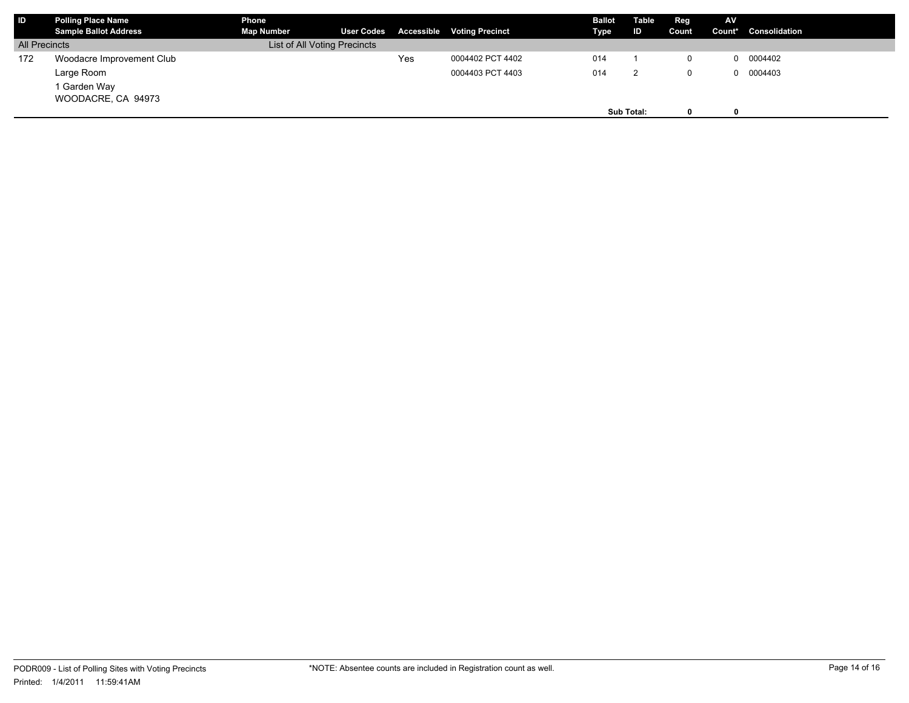| <b>IID</b>           | Polling Place Name<br><b>Sample Ballot Address</b> | Phone<br><b>Map Number</b>   | <b>User Codes</b> |     | <b>Accessible Voting Precinct</b> | <b>Ballot</b><br>Type | Table<br>ID | Reg<br>Count | AV. | Count* Consolidation |
|----------------------|----------------------------------------------------|------------------------------|-------------------|-----|-----------------------------------|-----------------------|-------------|--------------|-----|----------------------|
| <b>All Precincts</b> |                                                    | List of All Voting Precincts |                   |     |                                   |                       |             |              |     |                      |
| 172                  | Woodacre Improvement Club                          |                              |                   | Yes | 0004402 PCT 4402                  | 014                   |             | 0            |     | 0004402              |
|                      | Large Room                                         |                              |                   |     | 0004403 PCT 4403                  | 014                   |             | 0            |     | 0004403              |
|                      | 1 Garden Way                                       |                              |                   |     |                                   |                       |             |              |     |                      |
|                      | WOODACRE, CA 94973                                 |                              |                   |     |                                   |                       |             |              |     |                      |
|                      |                                                    |                              |                   |     |                                   |                       | Sub Total:  | 0            | 0   |                      |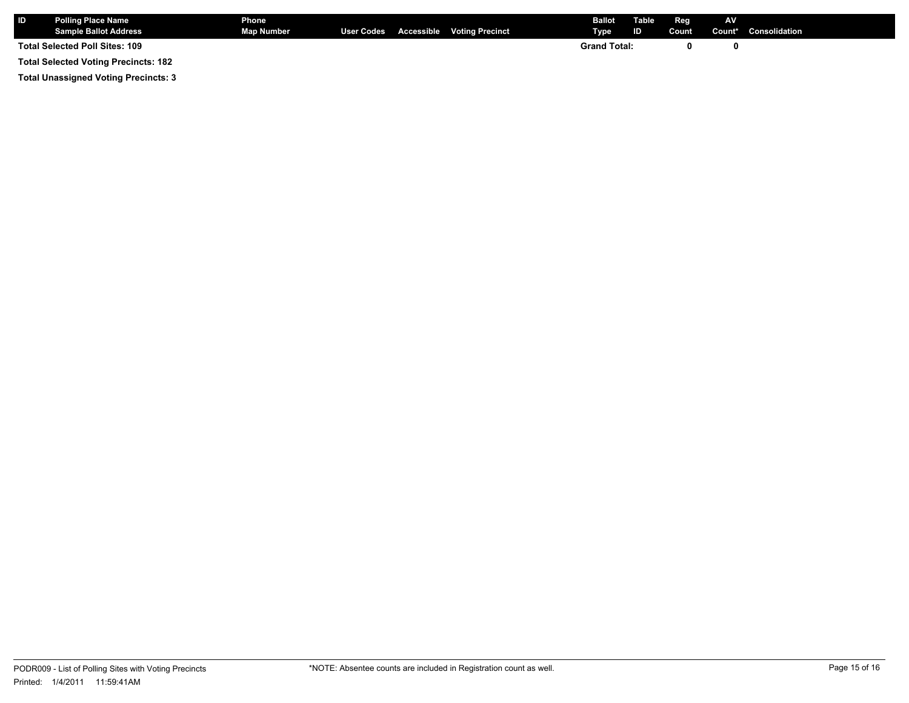| <b>ID</b>                      | <b>Polling Place Name</b><br><b>Sample Ballot Address</b> | <b>Phone</b><br><b>Map Number</b> |  |  | User Codes Accessible Voting Precinct | <b>Ballot</b> Table<br>Type | ID | Reg<br>Count | <b>AV</b> | Count* Consolidation |
|--------------------------------|-----------------------------------------------------------|-----------------------------------|--|--|---------------------------------------|-----------------------------|----|--------------|-----------|----------------------|
| Total Selected Poll Sites: 109 |                                                           |                                   |  |  |                                       | <b>Grand Total:</b>         |    |              |           |                      |
|                                | <b>Total Selected Voting Precincts: 182</b>               |                                   |  |  |                                       |                             |    |              |           |                      |

**Total Unassigned Voting Precincts: 3**